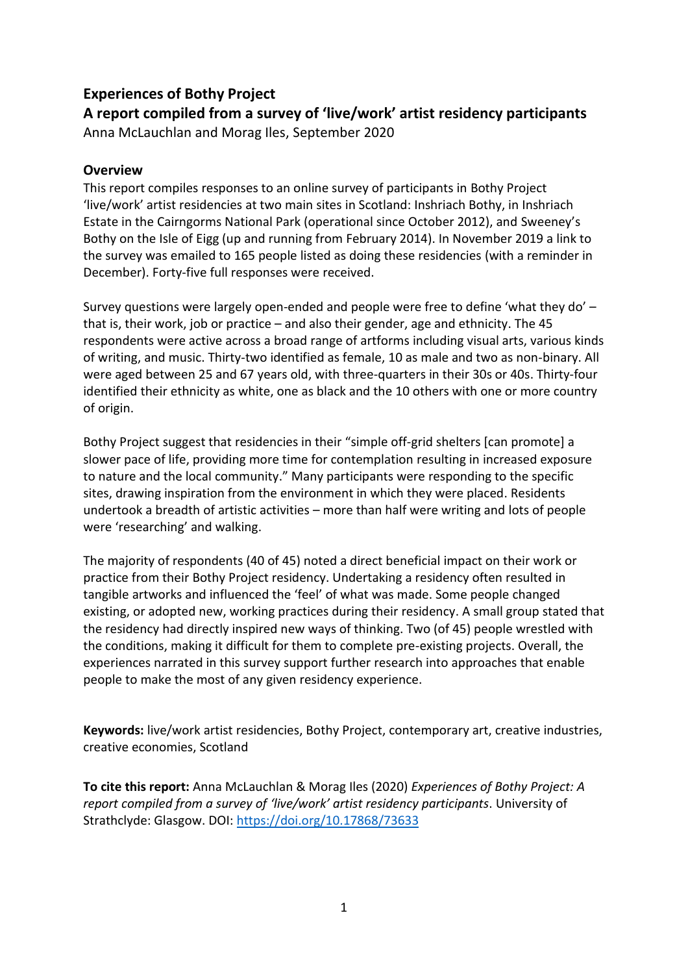### **Experiences of Bothy Project**

**A report compiled from a survey of 'live/work' artist residency participants** Anna McLauchlan and Morag Iles, September 2020

#### **Overview**

This report compiles responses to an online survey of participants in Bothy Project 'live/work' artist residencies at two main sites in Scotland: Inshriach Bothy, in Inshriach Estate in the Cairngorms National Park (operational since October 2012), and Sweeney's Bothy on the Isle of Eigg (up and running from February 2014). In November 2019 a link to the survey was emailed to 165 people listed as doing these residencies (with a reminder in December). Forty-five full responses were received.

Survey questions were largely open-ended and people were free to define 'what they do' – that is, their work, job or practice – and also their gender, age and ethnicity. The 45 respondents were active across a broad range of artforms including visual arts, various kinds of writing, and music. Thirty-two identified as female, 10 as male and two as non-binary. All were aged between 25 and 67 years old, with three-quarters in their 30s or 40s. Thirty-four identified their ethnicity as white, one as black and the 10 others with one or more country of origin.

Bothy Project suggest that residencies in their "simple off-grid shelters [can promote] a slower pace of life, providing more time for contemplation resulting in increased exposure to nature and the local community." Many participants were responding to the specific sites, drawing inspiration from the environment in which they were placed. Residents undertook a breadth of artistic activities – more than half were writing and lots of people were 'researching' and walking.

The majority of respondents (40 of 45) noted a direct beneficial impact on their work or practice from their Bothy Project residency. Undertaking a residency often resulted in tangible artworks and influenced the 'feel' of what was made. Some people changed existing, or adopted new, working practices during their residency. A small group stated that the residency had directly inspired new ways of thinking. Two (of 45) people wrestled with the conditions, making it difficult for them to complete pre-existing projects. Overall, the experiences narrated in this survey support further research into approaches that enable people to make the most of any given residency experience.

**Keywords:** live/work artist residencies, Bothy Project, contemporary art, creative industries, creative economies, Scotland

**To cite this report:** Anna McLauchlan & Morag Iles (2020) *Experiences of Bothy Project: A report compiled from a survey of 'live/work' artist residency participants*. University of Strathclyde: Glasgow. DOI: <https://doi.org/10.17868/73633>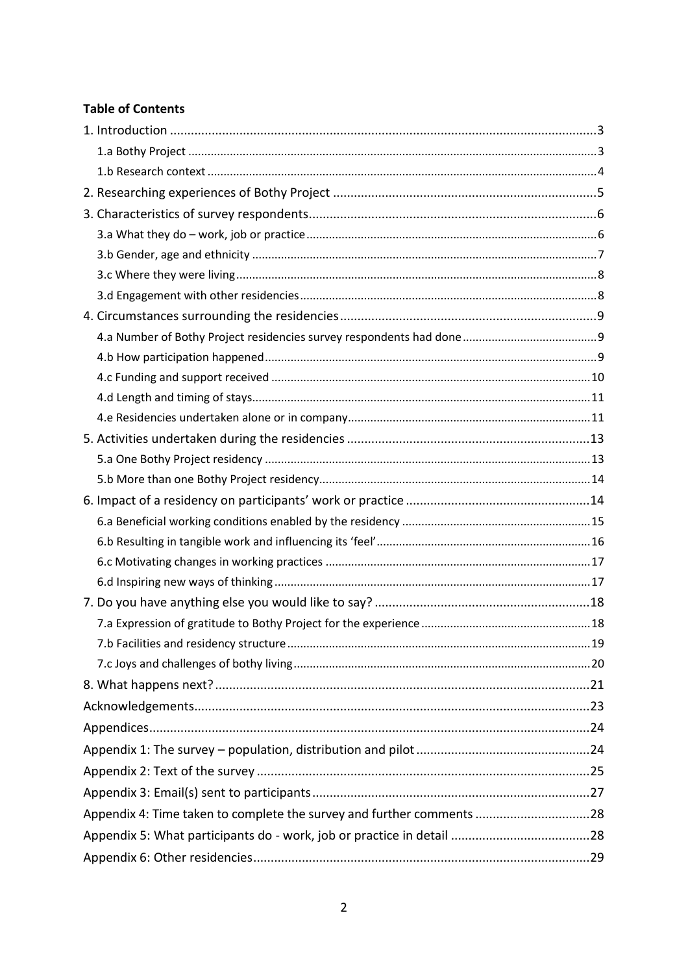#### **Table of Contents**

| Appendix 4: Time taken to complete the survey and further comments 28 |  |
|-----------------------------------------------------------------------|--|
|                                                                       |  |
|                                                                       |  |
|                                                                       |  |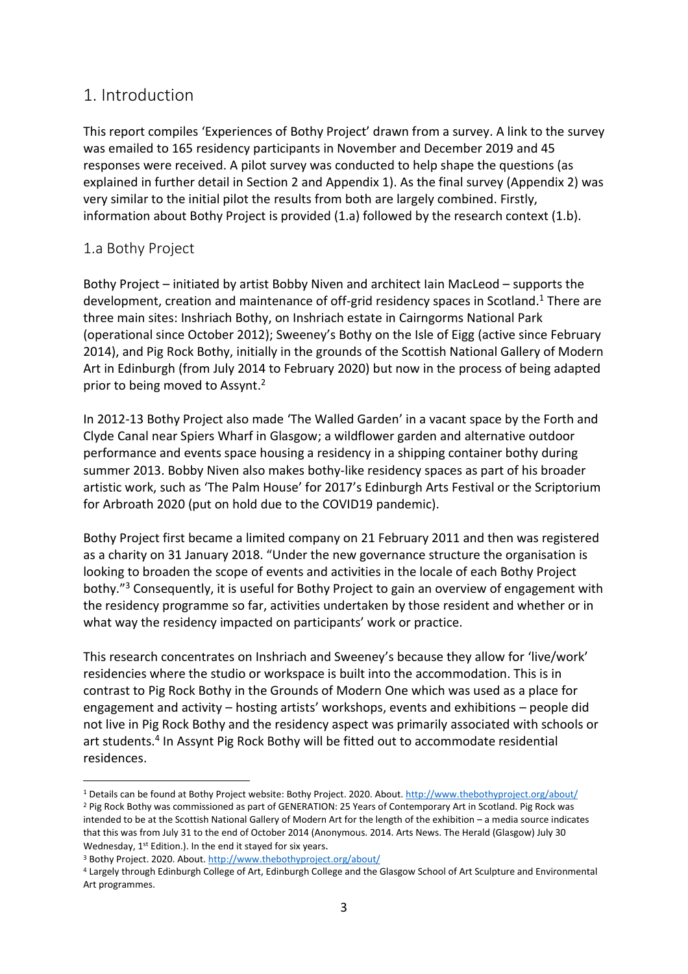### <span id="page-2-0"></span>1. Introduction

This report compiles 'Experiences of Bothy Project' drawn from a survey. A link to the survey was emailed to 165 residency participants in November and December 2019 and 45 responses were received. A pilot survey was conducted to help shape the questions (as explained in further detail in Section 2 and Appendix 1). As the final survey (Appendix 2) was very similar to the initial pilot the results from both are largely combined. Firstly, information about Bothy Project is provided (1.a) followed by the research context (1.b).

### <span id="page-2-1"></span>1.a Bothy Project

Bothy Project – initiated by artist Bobby Niven and architect Iain MacLeod – supports the development, creation and maintenance of off-grid residency spaces in Scotland. <sup>1</sup> There are three main sites: Inshriach Bothy, on Inshriach estate in Cairngorms National Park (operational since October 2012); Sweeney's Bothy on the Isle of Eigg (active since February 2014), and Pig Rock Bothy, initially in the grounds of the Scottish National Gallery of Modern Art in Edinburgh (from July 2014 to February 2020) but now in the process of being adapted prior to being moved to Assynt. 2

In 2012-13 Bothy Project also made 'The Walled Garden' in a vacant space by the Forth and Clyde Canal near Spiers Wharf in Glasgow; a wildflower garden and alternative outdoor performance and events space housing a residency in a shipping container bothy during summer 2013. Bobby Niven also makes bothy-like residency spaces as part of his broader artistic work, such as 'The Palm House' for 2017's Edinburgh Arts Festival or the Scriptorium for Arbroath 2020 (put on hold due to the COVID19 pandemic).

Bothy Project first became a limited company on 21 February 2011 and then was registered as a charity on 31 January 2018. "Under the new governance structure the organisation is looking to broaden the scope of events and activities in the locale of each Bothy Project bothy."<sup>3</sup> Consequently, it is useful for Bothy Project to gain an overview of engagement with the residency programme so far, activities undertaken by those resident and whether or in what way the residency impacted on participants' work or practice.

This research concentrates on Inshriach and Sweeney's because they allow for 'live/work' residencies where the studio or workspace is built into the accommodation. This is in contrast to Pig Rock Bothy in the Grounds of Modern One which was used as a place for engagement and activity – hosting artists' workshops, events and exhibitions – people did not live in Pig Rock Bothy and the residency aspect was primarily associated with schools or art students. 4 In Assynt Pig Rock Bothy will be fitted out to accommodate residential residences.

<sup>&</sup>lt;sup>1</sup> Details can be found at Bothy Project website: Bothy Project. 2020. About. <http://www.thebothyproject.org/about/>

<sup>&</sup>lt;sup>2</sup> Pig Rock Bothy was commissioned as part of GENERATION: 25 Years of Contemporary Art in Scotland. Pig Rock was intended to be at the Scottish National Gallery of Modern Art for the length of the exhibition – a media source indicates that this was from July 31 to the end of October 2014 (Anonymous. 2014. Arts News. The Herald (Glasgow) July 30 Wednesday, 1<sup>st</sup> Edition.). In the end it stayed for six years.

<sup>&</sup>lt;sup>3</sup> Bothy Project. 2020. About. <http://www.thebothyproject.org/about/>

<sup>4</sup> Largely through Edinburgh College of Art, Edinburgh College and the Glasgow School of Art Sculpture and Environmental Art programmes.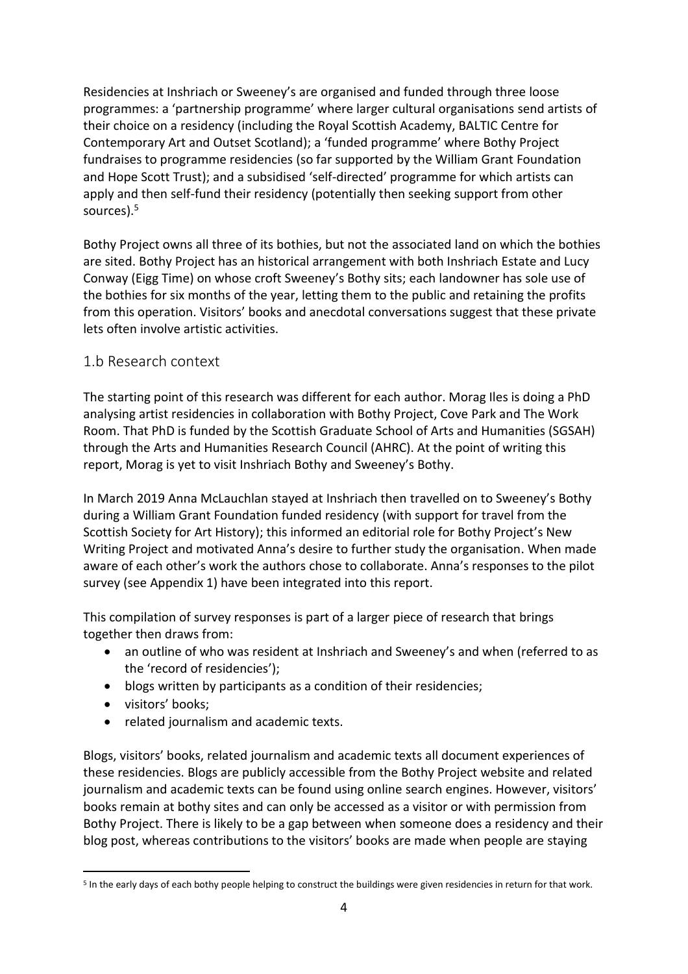Residencies at Inshriach or Sweeney's are organised and funded through three loose programmes: a 'partnership programme' where larger cultural organisations send artists of their choice on a residency (including the Royal Scottish Academy, BALTIC Centre for Contemporary Art and Outset Scotland); a 'funded programme' where Bothy Project fundraises to programme residencies (so far supported by the William Grant Foundation and Hope Scott Trust); and a subsidised 'self-directed' programme for which artists can apply and then self-fund their residency (potentially then seeking support from other sources).<sup>5</sup>

Bothy Project owns all three of its bothies, but not the associated land on which the bothies are sited. Bothy Project has an historical arrangement with both Inshriach Estate and Lucy Conway (Eigg Time) on whose croft Sweeney's Bothy sits; each landowner has sole use of the bothies for six months of the year, letting them to the public and retaining the profits from this operation. Visitors' books and anecdotal conversations suggest that these private lets often involve artistic activities.

### <span id="page-3-0"></span>1.b Research context

The starting point of this research was different for each author. Morag Iles is doing a PhD analysing artist residencies in collaboration with Bothy Project, Cove Park and The Work Room. That PhD is funded by the Scottish Graduate School of Arts and Humanities (SGSAH) through the Arts and Humanities Research Council (AHRC). At the point of writing this report, Morag is yet to visit Inshriach Bothy and Sweeney's Bothy.

In March 2019 Anna McLauchlan stayed at Inshriach then travelled on to Sweeney's Bothy during a William Grant Foundation funded residency (with support for travel from the Scottish Society for Art History); this informed an editorial role for Bothy Project's New Writing Project and motivated Anna's desire to further study the organisation. When made aware of each other's work the authors chose to collaborate. Anna's responses to the pilot survey (see Appendix 1) have been integrated into this report.

This compilation of survey responses is part of a larger piece of research that brings together then draws from:

- an outline of who was resident at Inshriach and Sweeney's and when (referred to as the 'record of residencies');
- blogs written by participants as a condition of their residencies;
- visitors' books;
- related journalism and academic texts.

Blogs, visitors' books, related journalism and academic texts all document experiences of these residencies. Blogs are publicly accessible from the Bothy Project website and related journalism and academic texts can be found using online search engines. However, visitors' books remain at bothy sites and can only be accessed as a visitor or with permission from Bothy Project. There is likely to be a gap between when someone does a residency and their blog post, whereas contributions to the visitors' books are made when people are staying

<sup>&</sup>lt;sup>5</sup> In the early days of each bothy people helping to construct the buildings were given residencies in return for that work.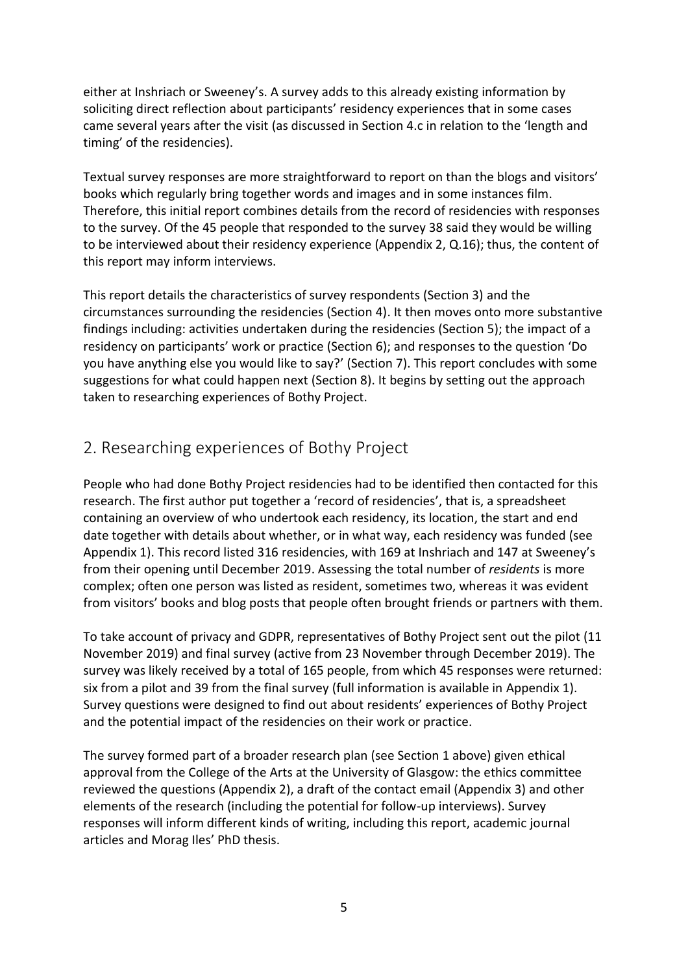either at Inshriach or Sweeney's. A survey adds to this already existing information by soliciting direct reflection about participants' residency experiences that in some cases came several years after the visit (as discussed in Section 4.c in relation to the 'length and timing' of the residencies).

Textual survey responses are more straightforward to report on than the blogs and visitors' books which regularly bring together words and images and in some instances film. Therefore, this initial report combines details from the record of residencies with responses to the survey. Of the 45 people that responded to the survey 38 said they would be willing to be interviewed about their residency experience (Appendix 2, Q.16); thus, the content of this report may inform interviews.

This report details the characteristics of survey respondents (Section 3) and the circumstances surrounding the residencies (Section 4). It then moves onto more substantive findings including: activities undertaken during the residencies (Section 5); the impact of a residency on participants' work or practice (Section 6); and responses to the question 'Do you have anything else you would like to say?' (Section 7). This report concludes with some suggestions for what could happen next (Section 8). It begins by setting out the approach taken to researching experiences of Bothy Project.

## <span id="page-4-0"></span>2. Researching experiences of Bothy Project

People who had done Bothy Project residencies had to be identified then contacted for this research. The first author put together a 'record of residencies', that is, a spreadsheet containing an overview of who undertook each residency, its location, the start and end date together with details about whether, or in what way, each residency was funded (see Appendix 1). This record listed 316 residencies, with 169 at Inshriach and 147 at Sweeney's from their opening until December 2019. Assessing the total number of *residents* is more complex; often one person was listed as resident, sometimes two, whereas it was evident from visitors' books and blog posts that people often brought friends or partners with them.

To take account of privacy and GDPR, representatives of Bothy Project sent out the pilot (11 November 2019) and final survey (active from 23 November through December 2019). The survey was likely received by a total of 165 people, from which 45 responses were returned: six from a pilot and 39 from the final survey (full information is available in Appendix 1). Survey questions were designed to find out about residents' experiences of Bothy Project and the potential impact of the residencies on their work or practice.

The survey formed part of a broader research plan (see Section 1 above) given ethical approval from the College of the Arts at the University of Glasgow: the ethics committee reviewed the questions (Appendix 2), a draft of the contact email (Appendix 3) and other elements of the research (including the potential for follow-up interviews). Survey responses will inform different kinds of writing, including this report, academic journal articles and Morag Iles' PhD thesis.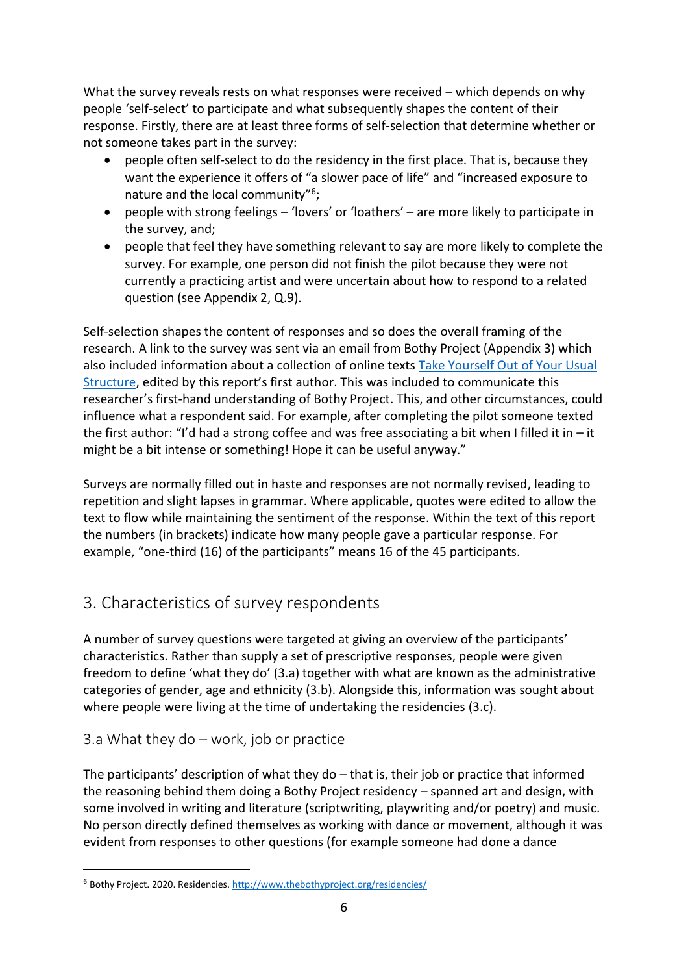What the survey reveals rests on what responses were received – which depends on why people 'self-select' to participate and what subsequently shapes the content of their response. Firstly, there are at least three forms of self-selection that determine whether or not someone takes part in the survey:

- people often self-select to do the residency in the first place. That is, because they want the experience it offers of "a slower pace of life" and "increased exposure to nature and the local community"<sup>6</sup>;
- people with strong feelings 'lovers' or 'loathers' are more likely to participate in the survey, and;
- people that feel they have something relevant to say are more likely to complete the survey. For example, one person did not finish the pilot because they were not currently a practicing artist and were uncertain about how to respond to a related question (see Appendix 2, Q.9).

Self-selection shapes the content of responses and so does the overall framing of the research. A link to the survey was sent via an email from Bothy Project (Appendix 3) which also included information about a collection of online texts [Take Yourself Out of Your Usual](https://mapmagazine.co.uk/issues/issue-53-take-yourself-out-of-your-usual-structure-new-writing)  [Structure,](https://mapmagazine.co.uk/issues/issue-53-take-yourself-out-of-your-usual-structure-new-writing) edited by this report's first author. This was included to communicate this researcher's first-hand understanding of Bothy Project. This, and other circumstances, could influence what a respondent said. For example, after completing the pilot someone texted the first author: "I'd had a strong coffee and was free associating a bit when I filled it in  $-$  it might be a bit intense or something! Hope it can be useful anyway."

Surveys are normally filled out in haste and responses are not normally revised, leading to repetition and slight lapses in grammar. Where applicable, quotes were edited to allow the text to flow while maintaining the sentiment of the response. Within the text of this report the numbers (in brackets) indicate how many people gave a particular response. For example, "one-third (16) of the participants" means 16 of the 45 participants.

# <span id="page-5-0"></span>3. Characteristics of survey respondents

A number of survey questions were targeted at giving an overview of the participants' characteristics. Rather than supply a set of prescriptive responses, people were given freedom to define 'what they do' (3.a) together with what are known as the administrative categories of gender, age and ethnicity (3.b). Alongside this, information was sought about where people were living at the time of undertaking the residencies (3.c).

### <span id="page-5-1"></span>3.a What they do – work, job or practice

The participants' description of what they do – that is, their job or practice that informed the reasoning behind them doing a Bothy Project residency – spanned art and design, with some involved in writing and literature (scriptwriting, playwriting and/or poetry) and music. No person directly defined themselves as working with dance or movement, although it was evident from responses to other questions (for example someone had done a dance

<sup>&</sup>lt;sup>6</sup> Bothy Project. 2020. Residencies.<http://www.thebothyproject.org/residencies/>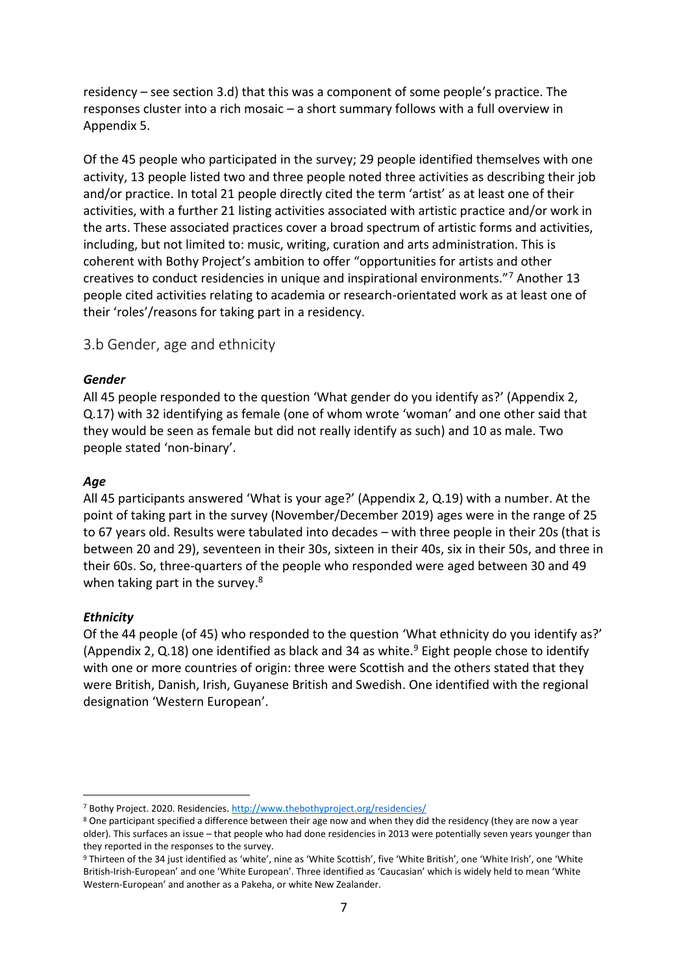residency – see section 3.d) that this was a component of some people's practice. The responses cluster into a rich mosaic – a short summary follows with a full overview in Appendix 5.

Of the 45 people who participated in the survey; 29 people identified themselves with one activity, 13 people listed two and three people noted three activities as describing their job and/or practice. In total 21 people directly cited the term 'artist' as at least one of their activities, with a further 21 listing activities associated with artistic practice and/or work in the arts. These associated practices cover a broad spectrum of artistic forms and activities, including, but not limited to: music, writing, curation and arts administration. This is coherent with Bothy Project's ambition to offer "opportunities for artists and other creatives to conduct residencies in unique and inspirational environments."<sup>7</sup> Another 13 people cited activities relating to academia or research-orientated work as at least one of their 'roles'/reasons for taking part in a residency.

<span id="page-6-0"></span>3.b Gender, age and ethnicity

#### *Gender*

All 45 people responded to the question 'What gender do you identify as?' (Appendix 2, Q.17) with 32 identifying as female (one of whom wrote 'woman' and one other said that they would be seen as female but did not really identify as such) and 10 as male. Two people stated 'non-binary'.

#### *Age*

All 45 participants answered 'What is your age?' (Appendix 2, Q.19) with a number. At the point of taking part in the survey (November/December 2019) ages were in the range of 25 to 67 years old. Results were tabulated into decades – with three people in their 20s (that is between 20 and 29), seventeen in their 30s, sixteen in their 40s, six in their 50s, and three in their 60s. So, three-quarters of the people who responded were aged between 30 and 49 when taking part in the survey.<sup>8</sup>

#### *Ethnicity*

Of the 44 people (of 45) who responded to the question 'What ethnicity do you identify as?' (Appendix 2, Q.18) one identified as black and 34 as white.<sup>9</sup> Eight people chose to identify with one or more countries of origin: three were Scottish and the others stated that they were British, Danish, Irish, Guyanese British and Swedish. One identified with the regional designation 'Western European'.

<sup>7</sup> Bothy Project. 2020. Residencies[. http://www.thebothyproject.org/residencies/](http://www.thebothyproject.org/residencies/)

<sup>&</sup>lt;sup>8</sup> One participant specified a difference between their age now and when they did the residency (they are now a year older). This surfaces an issue – that people who had done residencies in 2013 were potentially seven years younger than they reported in the responses to the survey.

<sup>9</sup> Thirteen of the 34 just identified as 'white', nine as 'White Scottish', five 'White British', one 'White Irish', one 'White British-Irish-European' and one 'White European'. Three identified as 'Caucasian' which is widely held to mean 'White Western-European' and another as a Pakeha, or white New Zealander.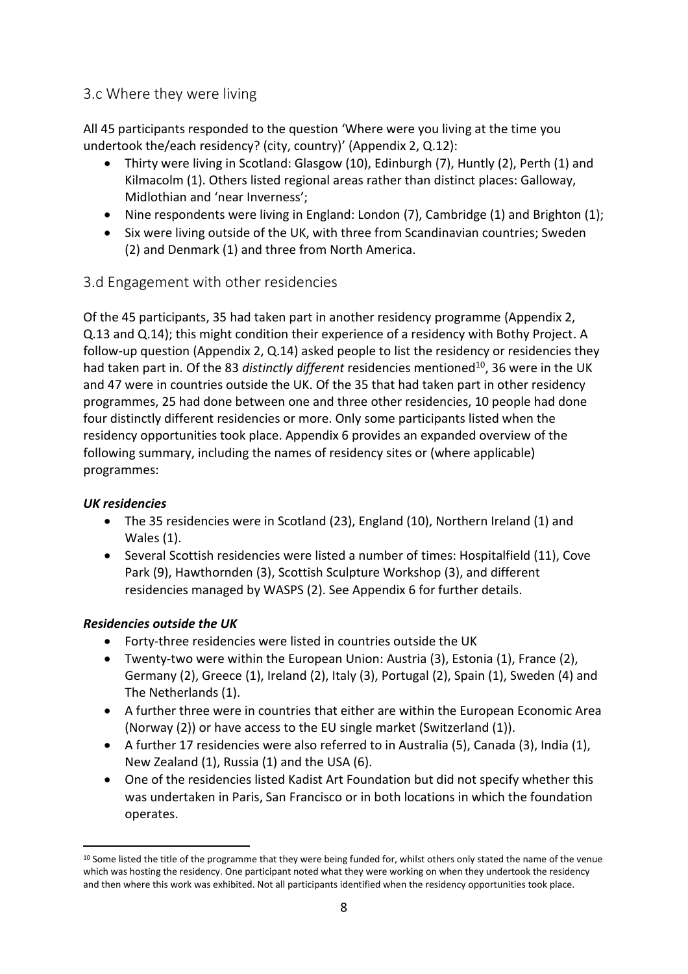### <span id="page-7-0"></span>3.c Where they were living

All 45 participants responded to the question 'Where were you living at the time you undertook the/each residency? (city, country)' (Appendix 2, Q.12):

- Thirty were living in Scotland: Glasgow (10), Edinburgh (7), Huntly (2), Perth (1) and Kilmacolm (1). Others listed regional areas rather than distinct places: Galloway, Midlothian and 'near Inverness';
- Nine respondents were living in England: London (7), Cambridge (1) and Brighton (1);
- Six were living outside of the UK, with three from Scandinavian countries; Sweden (2) and Denmark (1) and three from North America.

#### <span id="page-7-1"></span>3.d Engagement with other residencies

Of the 45 participants, 35 had taken part in another residency programme (Appendix 2, Q.13 and Q.14); this might condition their experience of a residency with Bothy Project. A follow-up question (Appendix 2, Q.14) asked people to list the residency or residencies they had taken part in. Of the 83 *distinctly different* residencies mentioned<sup>10</sup>, 36 were in the UK and 47 were in countries outside the UK. Of the 35 that had taken part in other residency programmes, 25 had done between one and three other residencies, 10 people had done four distinctly different residencies or more. Only some participants listed when the residency opportunities took place. Appendix 6 provides an expanded overview of the following summary, including the names of residency sites or (where applicable) programmes:

#### *UK residencies*

- The 35 residencies were in Scotland (23), England (10), Northern Ireland (1) and Wales (1).
- Several Scottish residencies were listed a number of times: Hospitalfield (11), Cove Park (9), Hawthornden (3), Scottish Sculpture Workshop (3), and different residencies managed by WASPS (2). See Appendix 6 for further details.

#### *Residencies outside the UK*

- Forty-three residencies were listed in countries outside the UK
- Twenty-two were within the European Union: Austria (3), Estonia (1), France (2), Germany (2), Greece (1), Ireland (2), Italy (3), Portugal (2), Spain (1), Sweden (4) and The Netherlands (1).
- A further three were in countries that either are within the European Economic Area (Norway (2)) or have access to the EU single market (Switzerland (1)).
- A further 17 residencies were also referred to in Australia (5), Canada (3), India (1), New Zealand (1), Russia (1) and the USA (6).
- One of the residencies listed Kadist Art Foundation but did not specify whether this was undertaken in Paris, San Francisco or in both locations in which the foundation operates.

<sup>&</sup>lt;sup>10</sup> Some listed the title of the programme that they were being funded for, whilst others only stated the name of the venue which was hosting the residency. One participant noted what they were working on when they undertook the residency and then where this work was exhibited. Not all participants identified when the residency opportunities took place.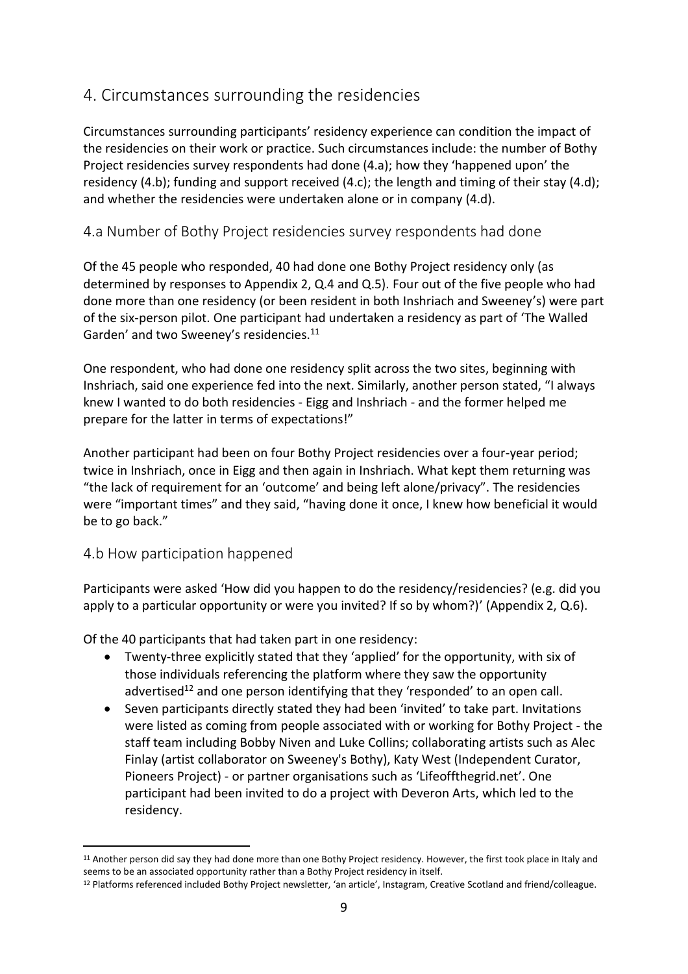## <span id="page-8-0"></span>4. Circumstances surrounding the residencies

Circumstances surrounding participants' residency experience can condition the impact of the residencies on their work or practice. Such circumstances include: the number of Bothy Project residencies survey respondents had done (4.a); how they 'happened upon' the residency (4.b); funding and support received (4.c); the length and timing of their stay (4.d); and whether the residencies were undertaken alone or in company (4.d).

### <span id="page-8-1"></span>4.a Number of Bothy Project residencies survey respondents had done

Of the 45 people who responded, 40 had done one Bothy Project residency only (as determined by responses to Appendix 2, Q.4 and Q.5). Four out of the five people who had done more than one residency (or been resident in both Inshriach and Sweeney's) were part of the six-person pilot. One participant had undertaken a residency as part of 'The Walled Garden' and two Sweeney's residencies.<sup>11</sup>

One respondent, who had done one residency split across the two sites, beginning with Inshriach, said one experience fed into the next. Similarly, another person stated, "I always knew I wanted to do both residencies - Eigg and Inshriach - and the former helped me prepare for the latter in terms of expectations!"

Another participant had been on four Bothy Project residencies over a four-year period; twice in Inshriach, once in Eigg and then again in Inshriach. What kept them returning was "the lack of requirement for an 'outcome' and being left alone/privacy". The residencies were "important times" and they said, "having done it once, I knew how beneficial it would be to go back."

### <span id="page-8-2"></span>4.b How participation happened

Participants were asked 'How did you happen to do the residency/residencies? (e.g. did you apply to a particular opportunity or were you invited? If so by whom?)' (Appendix 2, Q.6).

Of the 40 participants that had taken part in one residency:

- Twenty-three explicitly stated that they 'applied' for the opportunity, with six of those individuals referencing the platform where they saw the opportunity advertised<sup>12</sup> and one person identifying that they 'responded' to an open call.
- Seven participants directly stated they had been 'invited' to take part. Invitations were listed as coming from people associated with or working for Bothy Project - the staff team including Bobby Niven and Luke Collins; collaborating artists such as Alec Finlay (artist collaborator on Sweeney's Bothy), Katy West (Independent Curator, Pioneers Project) - or partner organisations such as 'Lifeoffthegrid.net'. One participant had been invited to do a project with Deveron Arts, which led to the residency.

<sup>11</sup> Another person did say they had done more than one Bothy Project residency. However, the first took place in Italy and seems to be an associated opportunity rather than a Bothy Project residency in itself.

<sup>12</sup> Platforms referenced included Bothy Project newsletter, 'an article', Instagram, Creative Scotland and friend/colleague.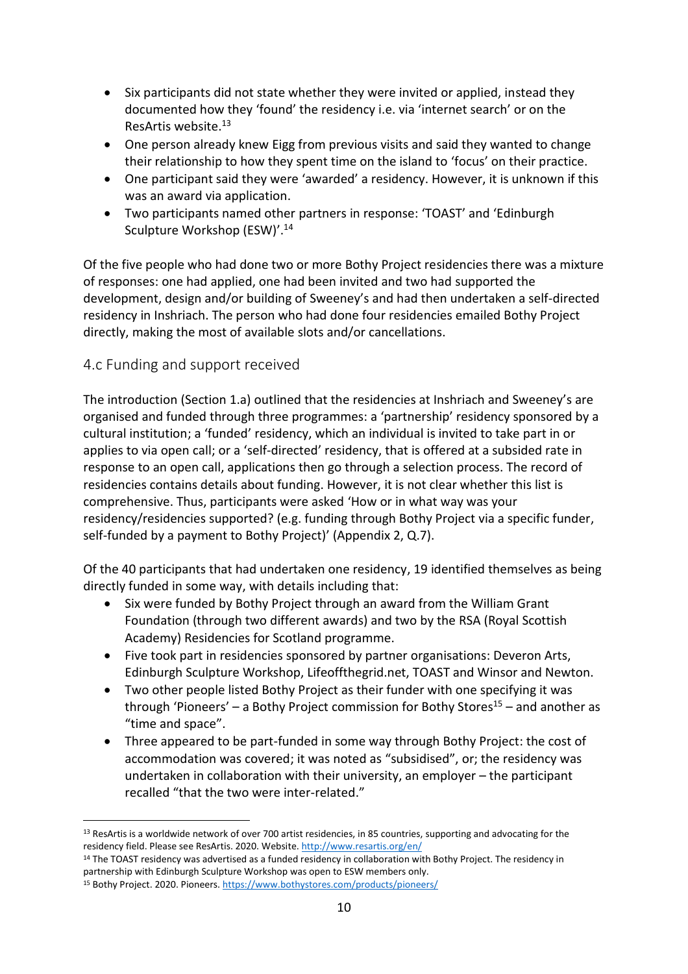- Six participants did not state whether they were invited or applied, instead they documented how they 'found' the residency i.e. via 'internet search' or on the ResArtis website.<sup>13</sup>
- One person already knew Eigg from previous visits and said they wanted to change their relationship to how they spent time on the island to 'focus' on their practice.
- One participant said they were 'awarded' a residency. However, it is unknown if this was an award via application.
- Two participants named other partners in response: 'TOAST' and 'Edinburgh Sculpture Workshop (ESW)'. 14

Of the five people who had done two or more Bothy Project residencies there was a mixture of responses: one had applied, one had been invited and two had supported the development, design and/or building of Sweeney's and had then undertaken a self-directed residency in Inshriach. The person who had done four residencies emailed Bothy Project directly, making the most of available slots and/or cancellations.

### <span id="page-9-0"></span>4.c Funding and support received

The introduction (Section 1.a) outlined that the residencies at Inshriach and Sweeney's are organised and funded through three programmes: a 'partnership' residency sponsored by a cultural institution; a 'funded' residency, which an individual is invited to take part in or applies to via open call; or a 'self-directed' residency, that is offered at a subsided rate in response to an open call, applications then go through a selection process. The record of residencies contains details about funding. However, it is not clear whether this list is comprehensive. Thus, participants were asked 'How or in what way was your residency/residencies supported? (e.g. funding through Bothy Project via a specific funder, self-funded by a payment to Bothy Project)' (Appendix 2, Q.7).

Of the 40 participants that had undertaken one residency, 19 identified themselves as being directly funded in some way, with details including that:

- Six were funded by Bothy Project through an award from the William Grant Foundation (through two different awards) and two by the RSA (Royal Scottish Academy) Residencies for Scotland programme.
- Five took part in residencies sponsored by partner organisations: Deveron Arts, Edinburgh Sculpture Workshop, Lifeoffthegrid.net, TOAST and Winsor and Newton.
- Two other people listed Bothy Project as their funder with one specifying it was through 'Pioneers' – a Bothy Project commission for Bothy Stores<sup>15</sup> – and another as "time and space".
- Three appeared to be part-funded in some way through Bothy Project: the cost of accommodation was covered; it was noted as "subsidised", or; the residency was undertaken in collaboration with their university, an employer – the participant recalled "that the two were inter-related."

<sup>&</sup>lt;sup>13</sup> ResArtis is a worldwide network of over 700 artist residencies, in 85 countries, supporting and advocating for the residency field. Please see ResArtis. 2020. Website. <http://www.resartis.org/en/>

<sup>&</sup>lt;sup>14</sup> The TOAST residency was advertised as a funded residency in collaboration with Bothy Project. The residency in partnership with Edinburgh Sculpture Workshop was open to ESW members only.

<sup>15</sup> Bothy Project. 2020. Pioneers[. https://www.bothystores.com/products/pioneers/](https://www.bothystores.com/products/pioneers/)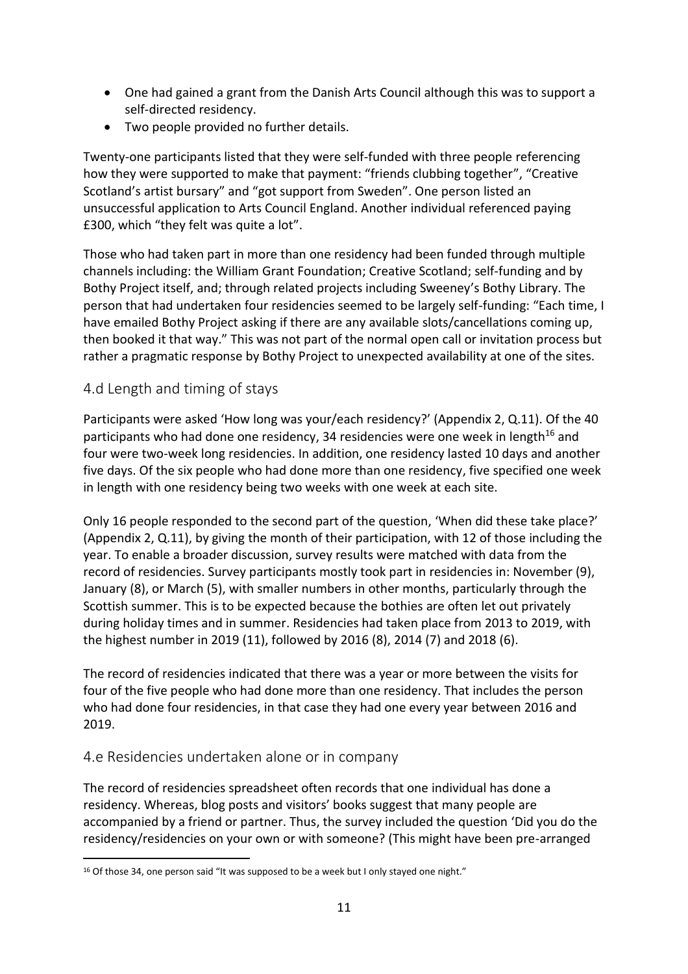- One had gained a grant from the Danish Arts Council although this was to support a self-directed residency.
- Two people provided no further details.

Twenty-one participants listed that they were self-funded with three people referencing how they were supported to make that payment: "friends clubbing together", "Creative Scotland's artist bursary" and "got support from Sweden". One person listed an unsuccessful application to Arts Council England. Another individual referenced paying £300, which "they felt was quite a lot".

Those who had taken part in more than one residency had been funded through multiple channels including: the William Grant Foundation; Creative Scotland; self-funding and by Bothy Project itself, and; through related projects including Sweeney's Bothy Library. The person that had undertaken four residencies seemed to be largely self-funding: "Each time, I have emailed Bothy Project asking if there are any available slots/cancellations coming up, then booked it that way." This was not part of the normal open call or invitation process but rather a pragmatic response by Bothy Project to unexpected availability at one of the sites.

### <span id="page-10-0"></span>4.d Length and timing of stays

Participants were asked 'How long was your/each residency?' (Appendix 2, Q.11). Of the 40 participants who had done one residency, 34 residencies were one week in length<sup>16</sup> and four were two-week long residencies. In addition, one residency lasted 10 days and another five days. Of the six people who had done more than one residency, five specified one week in length with one residency being two weeks with one week at each site.

Only 16 people responded to the second part of the question, 'When did these take place?' (Appendix 2, Q.11), by giving the month of their participation, with 12 of those including the year. To enable a broader discussion, survey results were matched with data from the record of residencies. Survey participants mostly took part in residencies in: November (9), January (8), or March (5), with smaller numbers in other months, particularly through the Scottish summer. This is to be expected because the bothies are often let out privately during holiday times and in summer. Residencies had taken place from 2013 to 2019, with the highest number in 2019 (11), followed by 2016 (8), 2014 (7) and 2018 (6).

The record of residencies indicated that there was a year or more between the visits for four of the five people who had done more than one residency. That includes the person who had done four residencies, in that case they had one every year between 2016 and 2019.

### <span id="page-10-1"></span>4.e Residencies undertaken alone or in company

The record of residencies spreadsheet often records that one individual has done a residency. Whereas, blog posts and visitors' books suggest that many people are accompanied by a friend or partner. Thus, the survey included the question 'Did you do the residency/residencies on your own or with someone? (This might have been pre-arranged

<sup>&</sup>lt;sup>16</sup> Of those 34, one person said "It was supposed to be a week but I only stayed one night."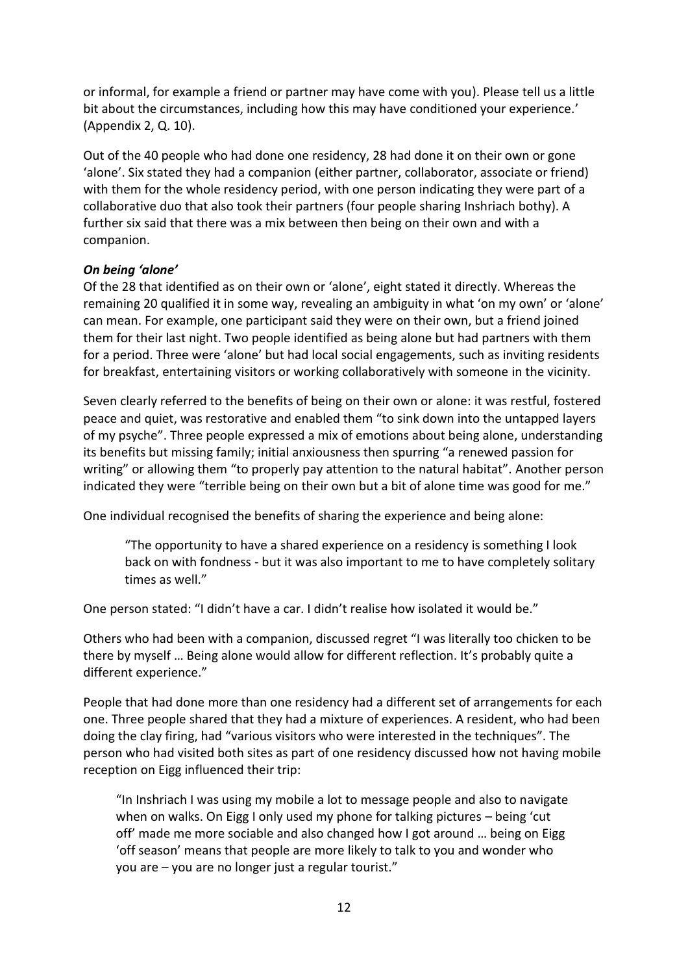or informal, for example a friend or partner may have come with you). Please tell us a little bit about the circumstances, including how this may have conditioned your experience.' (Appendix 2, Q. 10).

Out of the 40 people who had done one residency, 28 had done it on their own or gone 'alone'. Six stated they had a companion (either partner, collaborator, associate or friend) with them for the whole residency period, with one person indicating they were part of a collaborative duo that also took their partners (four people sharing Inshriach bothy). A further six said that there was a mix between then being on their own and with a companion.

#### *On being 'alone'*

Of the 28 that identified as on their own or 'alone', eight stated it directly. Whereas the remaining 20 qualified it in some way, revealing an ambiguity in what 'on my own' or 'alone' can mean. For example, one participant said they were on their own, but a friend joined them for their last night. Two people identified as being alone but had partners with them for a period. Three were 'alone' but had local social engagements, such as inviting residents for breakfast, entertaining visitors or working collaboratively with someone in the vicinity.

Seven clearly referred to the benefits of being on their own or alone: it was restful, fostered peace and quiet, was restorative and enabled them "to sink down into the untapped layers of my psyche". Three people expressed a mix of emotions about being alone, understanding its benefits but missing family; initial anxiousness then spurring "a renewed passion for writing" or allowing them "to properly pay attention to the natural habitat". Another person indicated they were "terrible being on their own but a bit of alone time was good for me."

One individual recognised the benefits of sharing the experience and being alone:

"The opportunity to have a shared experience on a residency is something I look back on with fondness - but it was also important to me to have completely solitary times as well."

One person stated: "I didn't have a car. I didn't realise how isolated it would be."

Others who had been with a companion, discussed regret "I was literally too chicken to be there by myself … Being alone would allow for different reflection. It's probably quite a different experience."

People that had done more than one residency had a different set of arrangements for each one. Three people shared that they had a mixture of experiences. A resident, who had been doing the clay firing, had "various visitors who were interested in the techniques". The person who had visited both sites as part of one residency discussed how not having mobile reception on Eigg influenced their trip:

"In Inshriach I was using my mobile a lot to message people and also to navigate when on walks. On Eigg I only used my phone for talking pictures – being 'cut off' made me more sociable and also changed how I got around … being on Eigg 'off season' means that people are more likely to talk to you and wonder who you are – you are no longer just a regular tourist."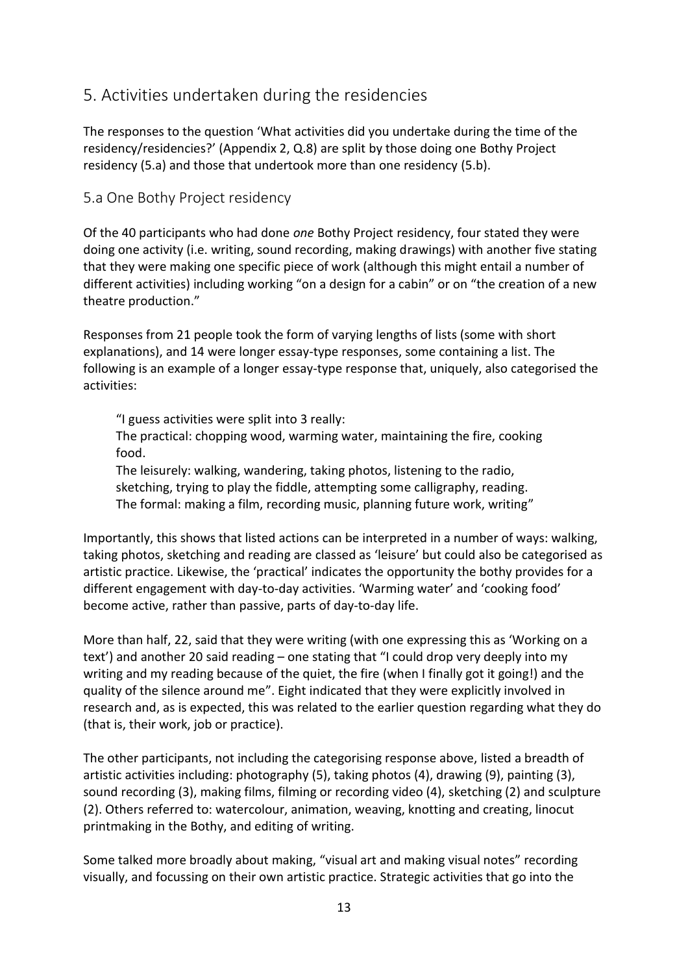## <span id="page-12-0"></span>5. Activities undertaken during the residencies

The responses to the question 'What activities did you undertake during the time of the residency/residencies?' (Appendix 2, Q.8) are split by those doing one Bothy Project residency (5.a) and those that undertook more than one residency (5.b).

#### <span id="page-12-1"></span>5.a One Bothy Project residency

Of the 40 participants who had done *one* Bothy Project residency, four stated they were doing one activity (i.e. writing, sound recording, making drawings) with another five stating that they were making one specific piece of work (although this might entail a number of different activities) including working "on a design for a cabin" or on "the creation of a new theatre production."

Responses from 21 people took the form of varying lengths of lists (some with short explanations), and 14 were longer essay-type responses, some containing a list. The following is an example of a longer essay-type response that, uniquely, also categorised the activities:

"I guess activities were split into 3 really: The practical: chopping wood, warming water, maintaining the fire, cooking food.

The leisurely: walking, wandering, taking photos, listening to the radio, sketching, trying to play the fiddle, attempting some calligraphy, reading. The formal: making a film, recording music, planning future work, writing"

Importantly, this shows that listed actions can be interpreted in a number of ways: walking, taking photos, sketching and reading are classed as 'leisure' but could also be categorised as artistic practice. Likewise, the 'practical' indicates the opportunity the bothy provides for a different engagement with day-to-day activities. 'Warming water' and 'cooking food' become active, rather than passive, parts of day-to-day life.

More than half, 22, said that they were writing (with one expressing this as 'Working on a text') and another 20 said reading – one stating that "I could drop very deeply into my writing and my reading because of the quiet, the fire (when I finally got it going!) and the quality of the silence around me". Eight indicated that they were explicitly involved in research and, as is expected, this was related to the earlier question regarding what they do (that is, their work, job or practice).

The other participants, not including the categorising response above, listed a breadth of artistic activities including: photography (5), taking photos (4), drawing (9), painting (3), sound recording (3), making films, filming or recording video (4), sketching (2) and sculpture (2). Others referred to: watercolour, animation, weaving, knotting and creating, linocut printmaking in the Bothy, and editing of writing.

Some talked more broadly about making, "visual art and making visual notes" recording visually, and focussing on their own artistic practice. Strategic activities that go into the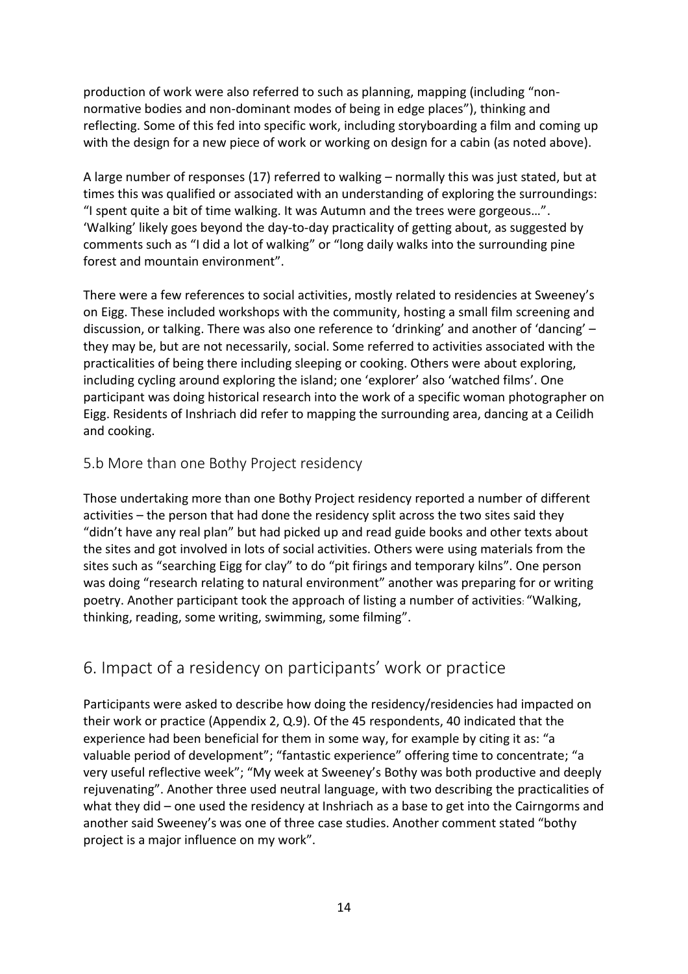production of work were also referred to such as planning, mapping (including "nonnormative bodies and non-dominant modes of being in edge places"), thinking and reflecting. Some of this fed into specific work, including storyboarding a film and coming up with the design for a new piece of work or working on design for a cabin (as noted above).

A large number of responses (17) referred to walking – normally this was just stated, but at times this was qualified or associated with an understanding of exploring the surroundings: "I spent quite a bit of time walking. It was Autumn and the trees were gorgeous…". 'Walking' likely goes beyond the day-to-day practicality of getting about, as suggested by comments such as "I did a lot of walking" or "long daily walks into the surrounding pine forest and mountain environment".

There were a few references to social activities, mostly related to residencies at Sweeney's on Eigg. These included workshops with the community, hosting a small film screening and discussion, or talking. There was also one reference to 'drinking' and another of 'dancing' – they may be, but are not necessarily, social. Some referred to activities associated with the practicalities of being there including sleeping or cooking. Others were about exploring, including cycling around exploring the island; one 'explorer' also 'watched films'. One participant was doing historical research into the work of a specific woman photographer on Eigg. Residents of Inshriach did refer to mapping the surrounding area, dancing at a Ceilidh and cooking.

#### <span id="page-13-0"></span>5.b More than one Bothy Project residency

Those undertaking more than one Bothy Project residency reported a number of different activities – the person that had done the residency split across the two sites said they "didn't have any real plan" but had picked up and read guide books and other texts about the sites and got involved in lots of social activities. Others were using materials from the sites such as "searching Eigg for clay" to do "pit firings and temporary kilns". One person was doing "research relating to natural environment" another was preparing for or writing poetry. Another participant took the approach of listing a number of activities: "Walking, thinking, reading, some writing, swimming, some filming".

### <span id="page-13-1"></span>6. Impact of a residency on participants' work or practice

Participants were asked to describe how doing the residency/residencies had impacted on their work or practice (Appendix 2, Q.9). Of the 45 respondents, 40 indicated that the experience had been beneficial for them in some way, for example by citing it as: "a valuable period of development"; "fantastic experience" offering time to concentrate; "a very useful reflective week"; "My week at Sweeney's Bothy was both productive and deeply rejuvenating". Another three used neutral language, with two describing the practicalities of what they did – one used the residency at Inshriach as a base to get into the Cairngorms and another said Sweeney's was one of three case studies. Another comment stated "bothy project is a major influence on my work".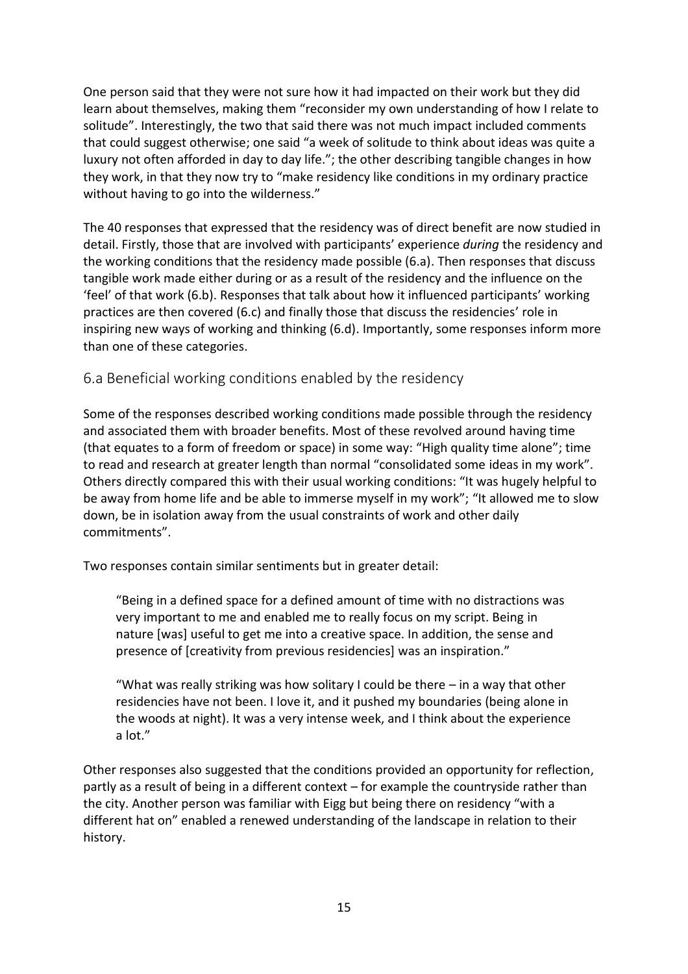One person said that they were not sure how it had impacted on their work but they did learn about themselves, making them "reconsider my own understanding of how I relate to solitude". Interestingly, the two that said there was not much impact included comments that could suggest otherwise; one said "a week of solitude to think about ideas was quite a luxury not often afforded in day to day life."; the other describing tangible changes in how they work, in that they now try to "make residency like conditions in my ordinary practice without having to go into the wilderness."

The 40 responses that expressed that the residency was of direct benefit are now studied in detail. Firstly, those that are involved with participants' experience *during* the residency and the working conditions that the residency made possible (6.a). Then responses that discuss tangible work made either during or as a result of the residency and the influence on the 'feel' of that work (6.b). Responses that talk about how it influenced participants' working practices are then covered (6.c) and finally those that discuss the residencies' role in inspiring new ways of working and thinking (6.d). Importantly, some responses inform more than one of these categories.

#### <span id="page-14-0"></span>6.a Beneficial working conditions enabled by the residency

Some of the responses described working conditions made possible through the residency and associated them with broader benefits. Most of these revolved around having time (that equates to a form of freedom or space) in some way: "High quality time alone"; time to read and research at greater length than normal "consolidated some ideas in my work". Others directly compared this with their usual working conditions: "It was hugely helpful to be away from home life and be able to immerse myself in my work"; "It allowed me to slow down, be in isolation away from the usual constraints of work and other daily commitments".

Two responses contain similar sentiments but in greater detail:

"Being in a defined space for a defined amount of time with no distractions was very important to me and enabled me to really focus on my script. Being in nature [was] useful to get me into a creative space. In addition, the sense and presence of [creativity from previous residencies] was an inspiration."

"What was really striking was how solitary I could be there – in a way that other residencies have not been. I love it, and it pushed my boundaries (being alone in the woods at night). It was a very intense week, and I think about the experience a lot."

Other responses also suggested that the conditions provided an opportunity for reflection, partly as a result of being in a different context – for example the countryside rather than the city. Another person was familiar with Eigg but being there on residency "with a different hat on" enabled a renewed understanding of the landscape in relation to their history.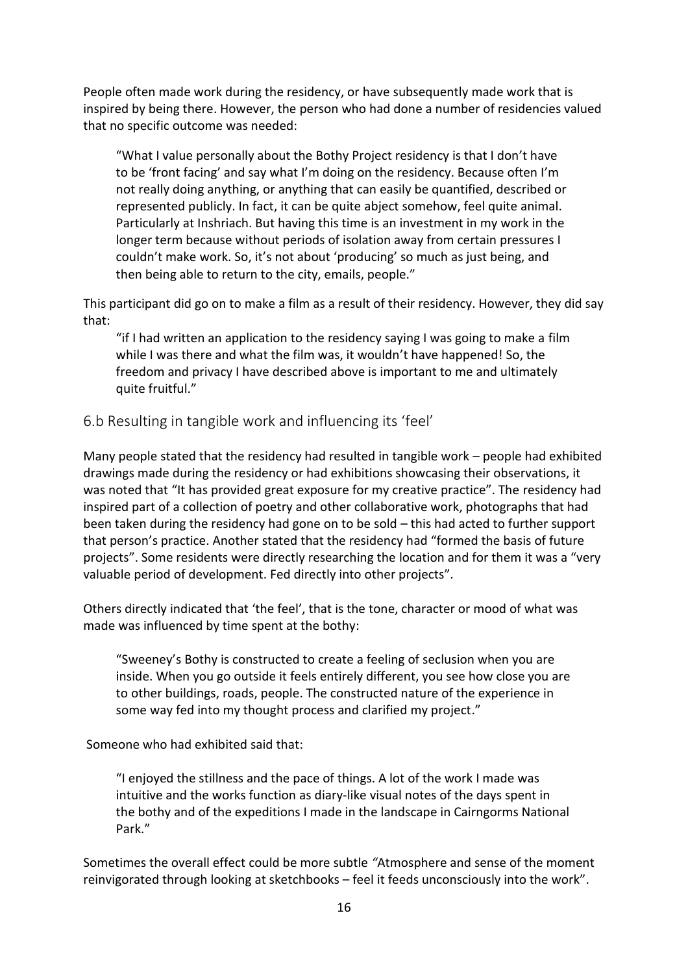People often made work during the residency, or have subsequently made work that is inspired by being there. However, the person who had done a number of residencies valued that no specific outcome was needed:

"What I value personally about the Bothy Project residency is that I don't have to be 'front facing' and say what I'm doing on the residency. Because often I'm not really doing anything, or anything that can easily be quantified, described or represented publicly. In fact, it can be quite abject somehow, feel quite animal. Particularly at Inshriach. But having this time is an investment in my work in the longer term because without periods of isolation away from certain pressures I couldn't make work. So, it's not about 'producing' so much as just being, and then being able to return to the city, emails, people."

This participant did go on to make a film as a result of their residency. However, they did say that:

"if I had written an application to the residency saying I was going to make a film while I was there and what the film was, it wouldn't have happened! So, the freedom and privacy I have described above is important to me and ultimately quite fruitful."

#### <span id="page-15-0"></span>6.b Resulting in tangible work and influencing its 'feel'

Many people stated that the residency had resulted in tangible work – people had exhibited drawings made during the residency or had exhibitions showcasing their observations, it was noted that "It has provided great exposure for my creative practice". The residency had inspired part of a collection of poetry and other collaborative work, photographs that had been taken during the residency had gone on to be sold – this had acted to further support that person's practice. Another stated that the residency had "formed the basis of future projects". Some residents were directly researching the location and for them it was a "very valuable period of development. Fed directly into other projects".

Others directly indicated that 'the feel', that is the tone, character or mood of what was made was influenced by time spent at the bothy:

"Sweeney's Bothy is constructed to create a feeling of seclusion when you are inside. When you go outside it feels entirely different, you see how close you are to other buildings, roads, people. The constructed nature of the experience in some way fed into my thought process and clarified my project."

Someone who had exhibited said that:

"I enjoyed the stillness and the pace of things. A lot of the work I made was intuitive and the works function as diary-like visual notes of the days spent in the bothy and of the expeditions I made in the landscape in Cairngorms National Park."

Sometimes the overall effect could be more subtle *"*Atmosphere and sense of the moment reinvigorated through looking at sketchbooks – feel it feeds unconsciously into the work".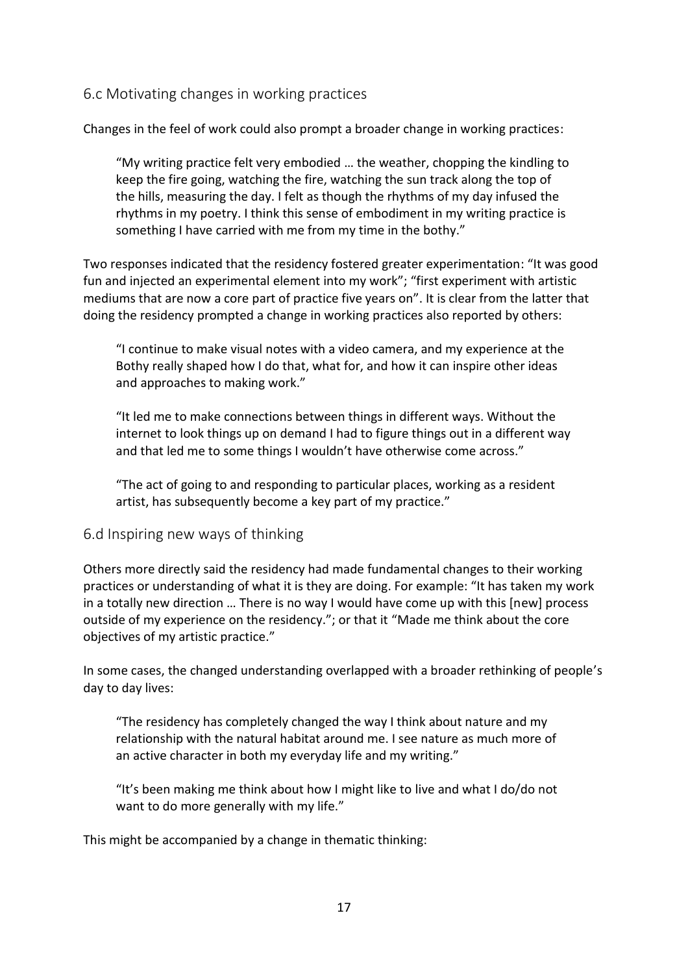#### <span id="page-16-0"></span>6.c Motivating changes in working practices

Changes in the feel of work could also prompt a broader change in working practices:

"My writing practice felt very embodied … the weather, chopping the kindling to keep the fire going, watching the fire, watching the sun track along the top of the hills, measuring the day. I felt as though the rhythms of my day infused the rhythms in my poetry. I think this sense of embodiment in my writing practice is something I have carried with me from my time in the bothy."

Two responses indicated that the residency fostered greater experimentation: "It was good fun and injected an experimental element into my work"; "first experiment with artistic mediums that are now a core part of practice five years on". It is clear from the latter that doing the residency prompted a change in working practices also reported by others:

"I continue to make visual notes with a video camera, and my experience at the Bothy really shaped how I do that, what for, and how it can inspire other ideas and approaches to making work."

"It led me to make connections between things in different ways. Without the internet to look things up on demand I had to figure things out in a different way and that led me to some things I wouldn't have otherwise come across."

"The act of going to and responding to particular places, working as a resident artist, has subsequently become a key part of my practice."

#### <span id="page-16-1"></span>6.d Inspiring new ways of thinking

Others more directly said the residency had made fundamental changes to their working practices or understanding of what it is they are doing. For example: "It has taken my work in a totally new direction … There is no way I would have come up with this [new] process outside of my experience on the residency."; or that it "Made me think about the core objectives of my artistic practice."

In some cases, the changed understanding overlapped with a broader rethinking of people's day to day lives:

"The residency has completely changed the way I think about nature and my relationship with the natural habitat around me. I see nature as much more of an active character in both my everyday life and my writing."

"It's been making me think about how I might like to live and what I do/do not want to do more generally with my life."

This might be accompanied by a change in thematic thinking: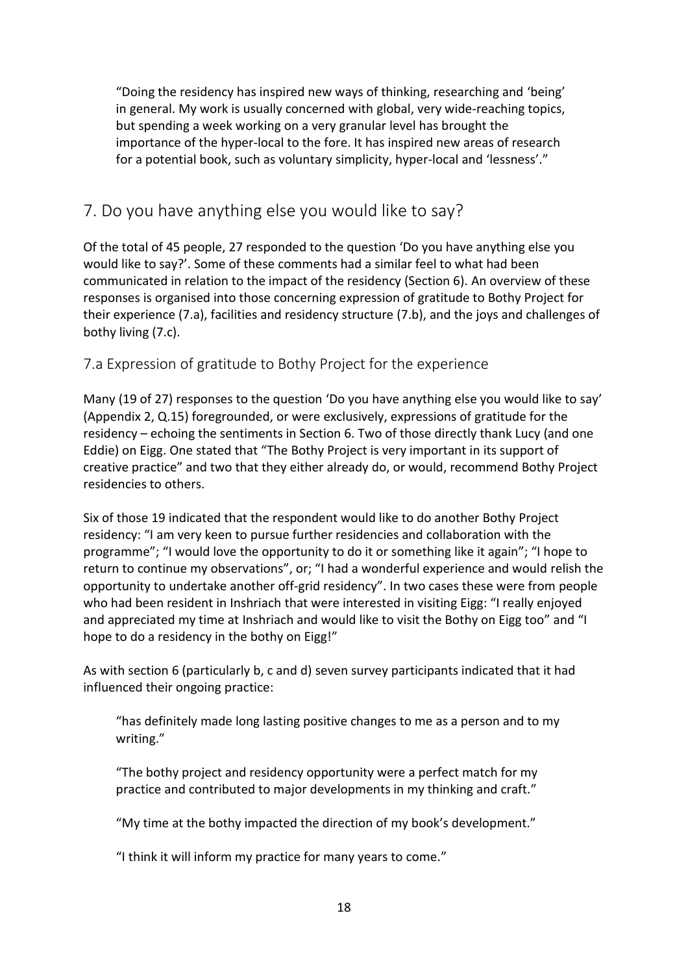"Doing the residency has inspired new ways of thinking, researching and 'being' in general. My work is usually concerned with global, very wide-reaching topics, but spending a week working on a very granular level has brought the importance of the hyper-local to the fore. It has inspired new areas of research for a potential book, such as voluntary simplicity, hyper-local and 'lessness'."

# <span id="page-17-0"></span>7. Do you have anything else you would like to say?

Of the total of 45 people, 27 responded to the question 'Do you have anything else you would like to say?'. Some of these comments had a similar feel to what had been communicated in relation to the impact of the residency (Section 6). An overview of these responses is organised into those concerning expression of gratitude to Bothy Project for their experience (7.a), facilities and residency structure (7.b), and the joys and challenges of bothy living (7.c).

### <span id="page-17-1"></span>7.a Expression of gratitude to Bothy Project for the experience

Many (19 of 27) responses to the question 'Do you have anything else you would like to say' (Appendix 2, Q.15) foregrounded, or were exclusively, expressions of gratitude for the residency – echoing the sentiments in Section 6. Two of those directly thank Lucy (and one Eddie) on Eigg. One stated that "The Bothy Project is very important in its support of creative practice" and two that they either already do, or would, recommend Bothy Project residencies to others.

Six of those 19 indicated that the respondent would like to do another Bothy Project residency: "I am very keen to pursue further residencies and collaboration with the programme"; "I would love the opportunity to do it or something like it again"; "I hope to return to continue my observations", or; "I had a wonderful experience and would relish the opportunity to undertake another off-grid residency". In two cases these were from people who had been resident in Inshriach that were interested in visiting Eigg: "I really enjoyed and appreciated my time at Inshriach and would like to visit the Bothy on Eigg too" and "I hope to do a residency in the bothy on Eigg!"

As with section 6 (particularly b, c and d) seven survey participants indicated that it had influenced their ongoing practice:

"has definitely made long lasting positive changes to me as a person and to my writing."

"The bothy project and residency opportunity were a perfect match for my practice and contributed to major developments in my thinking and craft."

"My time at the bothy impacted the direction of my book's development."

"I think it will inform my practice for many years to come."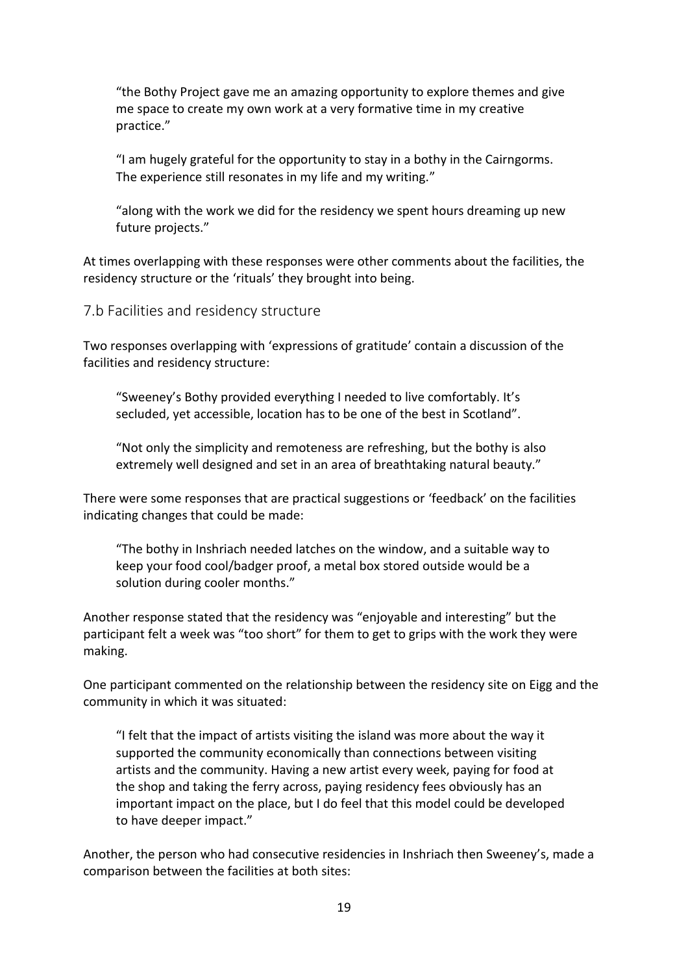"the Bothy Project gave me an amazing opportunity to explore themes and give me space to create my own work at a very formative time in my creative practice."

"I am hugely grateful for the opportunity to stay in a bothy in the Cairngorms. The experience still resonates in my life and my writing."

"along with the work we did for the residency we spent hours dreaming up new future projects."

At times overlapping with these responses were other comments about the facilities, the residency structure or the 'rituals' they brought into being.

<span id="page-18-0"></span>7.b Facilities and residency structure

Two responses overlapping with 'expressions of gratitude' contain a discussion of the facilities and residency structure:

"Sweeney's Bothy provided everything I needed to live comfortably. It's secluded, yet accessible, location has to be one of the best in Scotland".

"Not only the simplicity and remoteness are refreshing, but the bothy is also extremely well designed and set in an area of breathtaking natural beauty."

There were some responses that are practical suggestions or 'feedback' on the facilities indicating changes that could be made:

"The bothy in Inshriach needed latches on the window, and a suitable way to keep your food cool/badger proof, a metal box stored outside would be a solution during cooler months."

Another response stated that the residency was "enjoyable and interesting" but the participant felt a week was "too short" for them to get to grips with the work they were making.

One participant commented on the relationship between the residency site on Eigg and the community in which it was situated:

"I felt that the impact of artists visiting the island was more about the way it supported the community economically than connections between visiting artists and the community. Having a new artist every week, paying for food at the shop and taking the ferry across, paying residency fees obviously has an important impact on the place, but I do feel that this model could be developed to have deeper impact."

Another, the person who had consecutive residencies in Inshriach then Sweeney's, made a comparison between the facilities at both sites: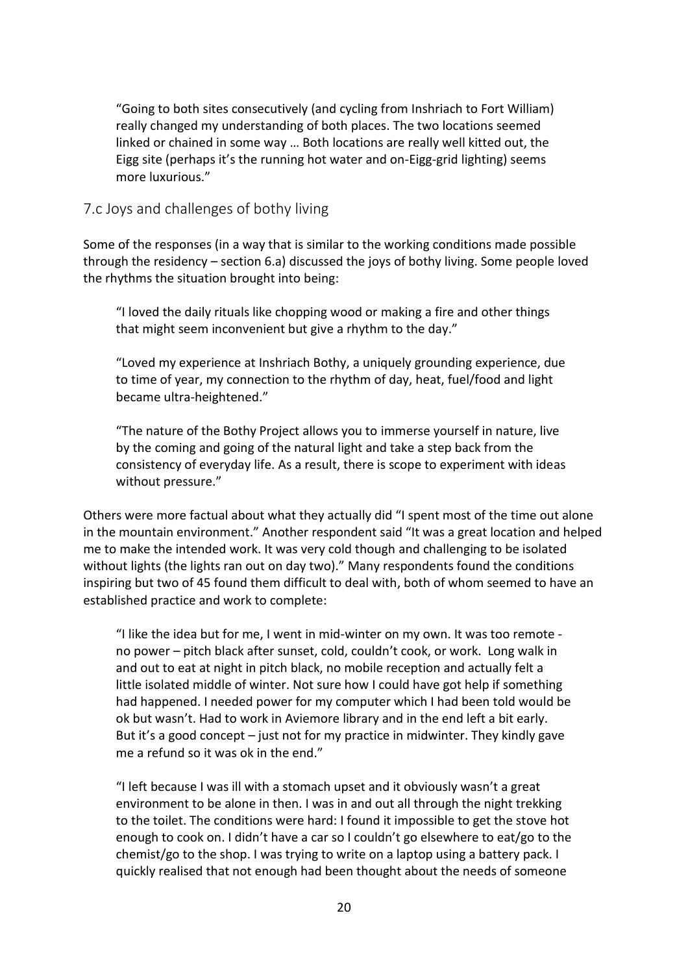"Going to both sites consecutively (and cycling from Inshriach to Fort William) really changed my understanding of both places. The two locations seemed linked or chained in some way … Both locations are really well kitted out, the Eigg site (perhaps it's the running hot water and on-Eigg-grid lighting) seems more luxurious."

#### <span id="page-19-0"></span>7.c Joys and challenges of bothy living

Some of the responses (in a way that is similar to the working conditions made possible through the residency – section 6.a) discussed the joys of bothy living. Some people loved the rhythms the situation brought into being:

"I loved the daily rituals like chopping wood or making a fire and other things that might seem inconvenient but give a rhythm to the day."

"Loved my experience at Inshriach Bothy, a uniquely grounding experience, due to time of year, my connection to the rhythm of day, heat, fuel/food and light became ultra-heightened."

"The nature of the Bothy Project allows you to immerse yourself in nature, live by the coming and going of the natural light and take a step back from the consistency of everyday life. As a result, there is scope to experiment with ideas without pressure."

Others were more factual about what they actually did "I spent most of the time out alone in the mountain environment." Another respondent said "It was a great location and helped me to make the intended work. It was very cold though and challenging to be isolated without lights (the lights ran out on day two)." Many respondents found the conditions inspiring but two of 45 found them difficult to deal with, both of whom seemed to have an established practice and work to complete:

"I like the idea but for me, I went in mid-winter on my own. It was too remote no power – pitch black after sunset, cold, couldn't cook, or work. Long walk in and out to eat at night in pitch black, no mobile reception and actually felt a little isolated middle of winter. Not sure how I could have got help if something had happened. I needed power for my computer which I had been told would be ok but wasn't. Had to work in Aviemore library and in the end left a bit early. But it's a good concept – just not for my practice in midwinter. They kindly gave me a refund so it was ok in the end."

"I left because I was ill with a stomach upset and it obviously wasn't a great environment to be alone in then. I was in and out all through the night trekking to the toilet. The conditions were hard: I found it impossible to get the stove hot enough to cook on. I didn't have a car so I couldn't go elsewhere to eat/go to the chemist/go to the shop. I was trying to write on a laptop using a battery pack. I quickly realised that not enough had been thought about the needs of someone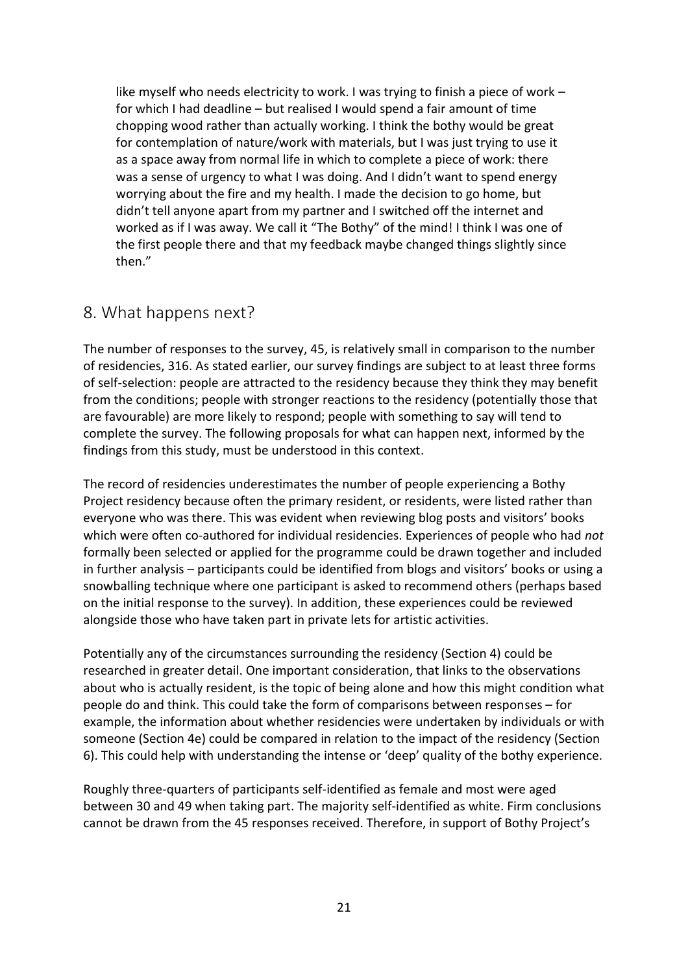like myself who needs electricity to work. I was trying to finish a piece of work – for which I had deadline – but realised I would spend a fair amount of time chopping wood rather than actually working. I think the bothy would be great for contemplation of nature/work with materials, but I was just trying to use it as a space away from normal life in which to complete a piece of work: there was a sense of urgency to what I was doing. And I didn't want to spend energy worrying about the fire and my health. I made the decision to go home, but didn't tell anyone apart from my partner and I switched off the internet and worked as if I was away. We call it "The Bothy" of the mind! I think I was one of the first people there and that my feedback maybe changed things slightly since then."

### <span id="page-20-0"></span>8. What happens next?

The number of responses to the survey, 45, is relatively small in comparison to the number of residencies, 316. As stated earlier, our survey findings are subject to at least three forms of self-selection: people are attracted to the residency because they think they may benefit from the conditions; people with stronger reactions to the residency (potentially those that are favourable) are more likely to respond; people with something to say will tend to complete the survey. The following proposals for what can happen next, informed by the findings from this study, must be understood in this context.

The record of residencies underestimates the number of people experiencing a Bothy Project residency because often the primary resident, or residents, were listed rather than everyone who was there. This was evident when reviewing blog posts and visitors' books which were often co-authored for individual residencies. Experiences of people who had *not* formally been selected or applied for the programme could be drawn together and included in further analysis – participants could be identified from blogs and visitors' books or using a snowballing technique where one participant is asked to recommend others (perhaps based on the initial response to the survey). In addition, these experiences could be reviewed alongside those who have taken part in private lets for artistic activities.

Potentially any of the circumstances surrounding the residency (Section 4) could be researched in greater detail. One important consideration, that links to the observations about who is actually resident, is the topic of being alone and how this might condition what people do and think. This could take the form of comparisons between responses – for example, the information about whether residencies were undertaken by individuals or with someone (Section 4e) could be compared in relation to the impact of the residency (Section 6). This could help with understanding the intense or 'deep' quality of the bothy experience.

Roughly three-quarters of participants self-identified as female and most were aged between 30 and 49 when taking part. The majority self-identified as white. Firm conclusions cannot be drawn from the 45 responses received. Therefore, in support of Bothy Project's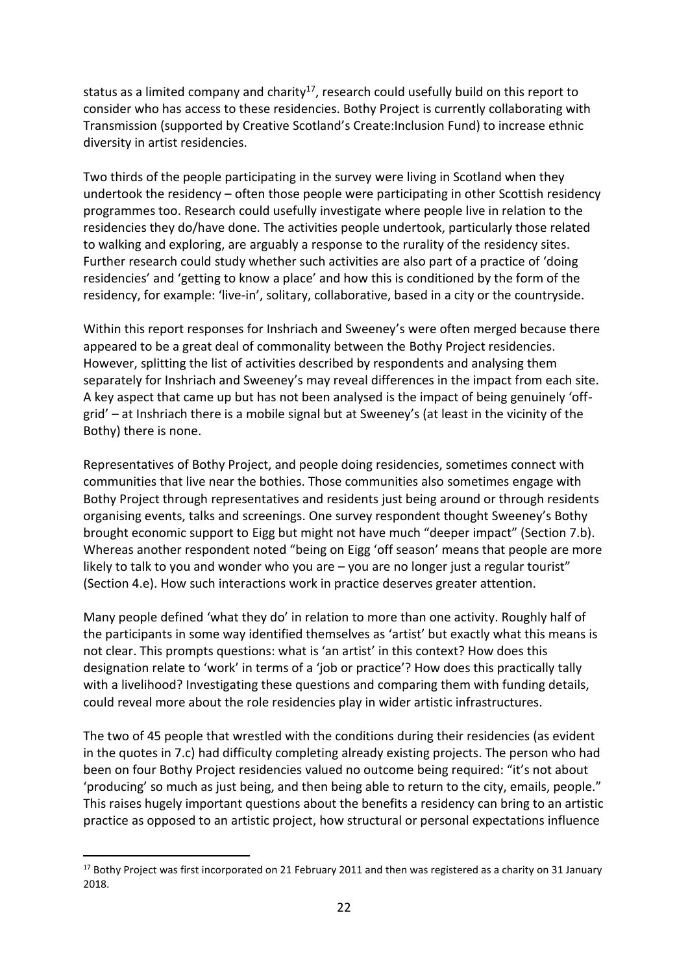status as a limited company and charity<sup>17</sup>, research could usefully build on this report to consider who has access to these residencies. Bothy Project is currently collaborating with Transmission (supported by Creative Scotland's Create:Inclusion Fund) to increase ethnic diversity in artist residencies.

Two thirds of the people participating in the survey were living in Scotland when they undertook the residency – often those people were participating in other Scottish residency programmes too. Research could usefully investigate where people live in relation to the residencies they do/have done. The activities people undertook, particularly those related to walking and exploring, are arguably a response to the rurality of the residency sites. Further research could study whether such activities are also part of a practice of 'doing residencies' and 'getting to know a place' and how this is conditioned by the form of the residency, for example: 'live-in', solitary, collaborative, based in a city or the countryside.

Within this report responses for Inshriach and Sweeney's were often merged because there appeared to be a great deal of commonality between the Bothy Project residencies. However, splitting the list of activities described by respondents and analysing them separately for Inshriach and Sweeney's may reveal differences in the impact from each site. A key aspect that came up but has not been analysed is the impact of being genuinely 'offgrid' – at Inshriach there is a mobile signal but at Sweeney's (at least in the vicinity of the Bothy) there is none.

Representatives of Bothy Project, and people doing residencies, sometimes connect with communities that live near the bothies. Those communities also sometimes engage with Bothy Project through representatives and residents just being around or through residents organising events, talks and screenings. One survey respondent thought Sweeney's Bothy brought economic support to Eigg but might not have much "deeper impact" (Section 7.b). Whereas another respondent noted "being on Eigg 'off season' means that people are more likely to talk to you and wonder who you are – you are no longer just a regular tourist" (Section 4.e). How such interactions work in practice deserves greater attention.

Many people defined 'what they do' in relation to more than one activity. Roughly half of the participants in some way identified themselves as 'artist' but exactly what this means is not clear. This prompts questions: what is 'an artist' in this context? How does this designation relate to 'work' in terms of a 'job or practice'? How does this practically tally with a livelihood? Investigating these questions and comparing them with funding details, could reveal more about the role residencies play in wider artistic infrastructures.

The two of 45 people that wrestled with the conditions during their residencies (as evident in the quotes in 7.c) had difficulty completing already existing projects. The person who had been on four Bothy Project residencies valued no outcome being required: "it's not about 'producing' so much as just being, and then being able to return to the city, emails, people." This raises hugely important questions about the benefits a residency can bring to an artistic practice as opposed to an artistic project, how structural or personal expectations influence

<sup>&</sup>lt;sup>17</sup> Bothy Project was first incorporated on 21 February 2011 and then was registered as a charity on 31 January 2018.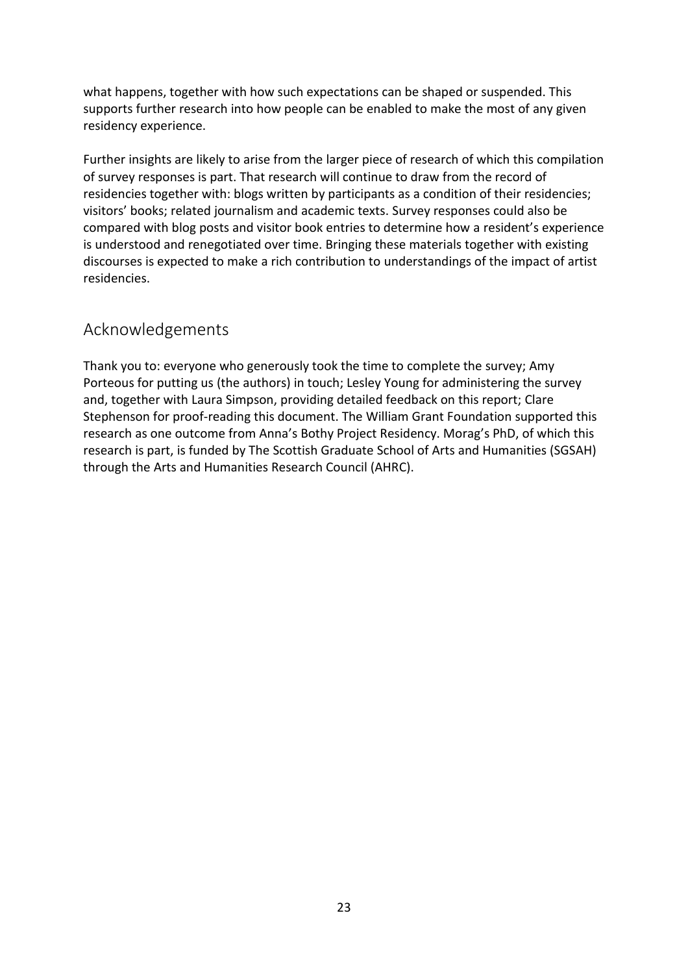what happens, together with how such expectations can be shaped or suspended. This supports further research into how people can be enabled to make the most of any given residency experience.

Further insights are likely to arise from the larger piece of research of which this compilation of survey responses is part. That research will continue to draw from the record of residencies together with: blogs written by participants as a condition of their residencies; visitors' books; related journalism and academic texts. Survey responses could also be compared with blog posts and visitor book entries to determine how a resident's experience is understood and renegotiated over time. Bringing these materials together with existing discourses is expected to make a rich contribution to understandings of the impact of artist residencies.

### <span id="page-22-0"></span>Acknowledgements

Thank you to: everyone who generously took the time to complete the survey; Amy Porteous for putting us (the authors) in touch; Lesley Young for administering the survey and, together with Laura Simpson, providing detailed feedback on this report; Clare Stephenson for proof-reading this document. The William Grant Foundation supported this research as one outcome from Anna's Bothy Project Residency. Morag's PhD, of which this research is part, is funded by The Scottish Graduate School of Arts and Humanities (SGSAH) through the Arts and Humanities Research Council (AHRC).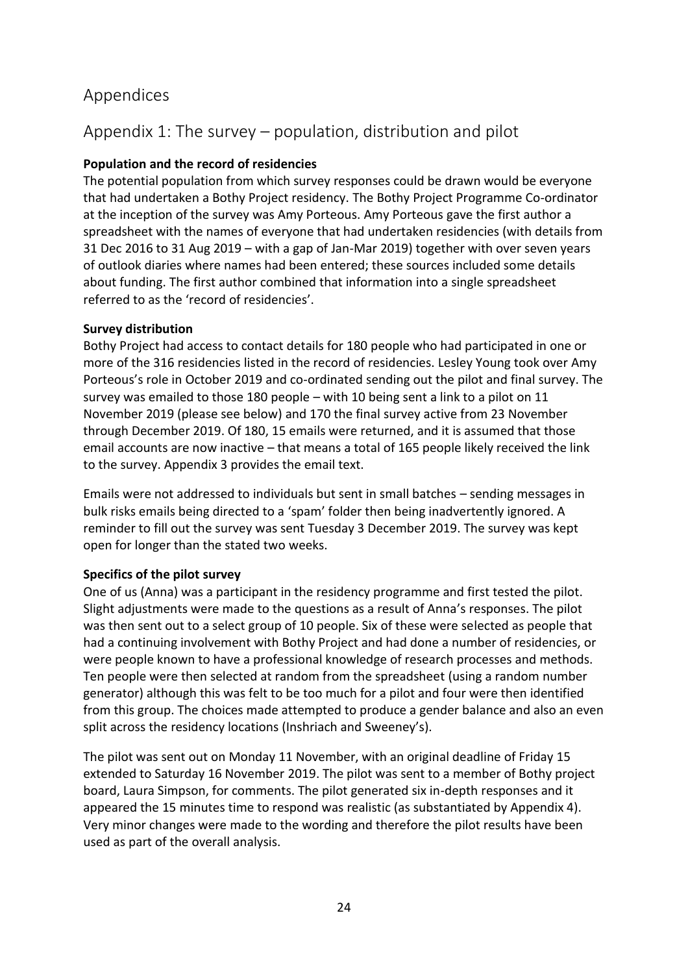## <span id="page-23-0"></span>Appendices

# <span id="page-23-1"></span>Appendix 1: The survey – population, distribution and pilot

### **Population and the record of residencies**

The potential population from which survey responses could be drawn would be everyone that had undertaken a Bothy Project residency. The Bothy Project Programme Co-ordinator at the inception of the survey was Amy Porteous. Amy Porteous gave the first author a spreadsheet with the names of everyone that had undertaken residencies (with details from 31 Dec 2016 to 31 Aug 2019 – with a gap of Jan-Mar 2019) together with over seven years of outlook diaries where names had been entered; these sources included some details about funding. The first author combined that information into a single spreadsheet referred to as the 'record of residencies'.

#### **Survey distribution**

Bothy Project had access to contact details for 180 people who had participated in one or more of the 316 residencies listed in the record of residencies. Lesley Young took over Amy Porteous's role in October 2019 and co-ordinated sending out the pilot and final survey. The survey was emailed to those 180 people – with 10 being sent a link to a pilot on 11 November 2019 (please see below) and 170 the final survey active from 23 November through December 2019. Of 180, 15 emails were returned, and it is assumed that those email accounts are now inactive – that means a total of 165 people likely received the link to the survey. Appendix 3 provides the email text.

Emails were not addressed to individuals but sent in small batches – sending messages in bulk risks emails being directed to a 'spam' folder then being inadvertently ignored. A reminder to fill out the survey was sent Tuesday 3 December 2019. The survey was kept open for longer than the stated two weeks.

### **Specifics of the pilot survey**

One of us (Anna) was a participant in the residency programme and first tested the pilot. Slight adjustments were made to the questions as a result of Anna's responses. The pilot was then sent out to a select group of 10 people. Six of these were selected as people that had a continuing involvement with Bothy Project and had done a number of residencies, or were people known to have a professional knowledge of research processes and methods. Ten people were then selected at random from the spreadsheet (using a random number generator) although this was felt to be too much for a pilot and four were then identified from this group. The choices made attempted to produce a gender balance and also an even split across the residency locations (Inshriach and Sweeney's).

The pilot was sent out on Monday 11 November, with an original deadline of Friday 15 extended to Saturday 16 November 2019. The pilot was sent to a member of Bothy project board, Laura Simpson, for comments. The pilot generated six in-depth responses and it appeared the 15 minutes time to respond was realistic (as substantiated by Appendix 4). Very minor changes were made to the wording and therefore the pilot results have been used as part of the overall analysis.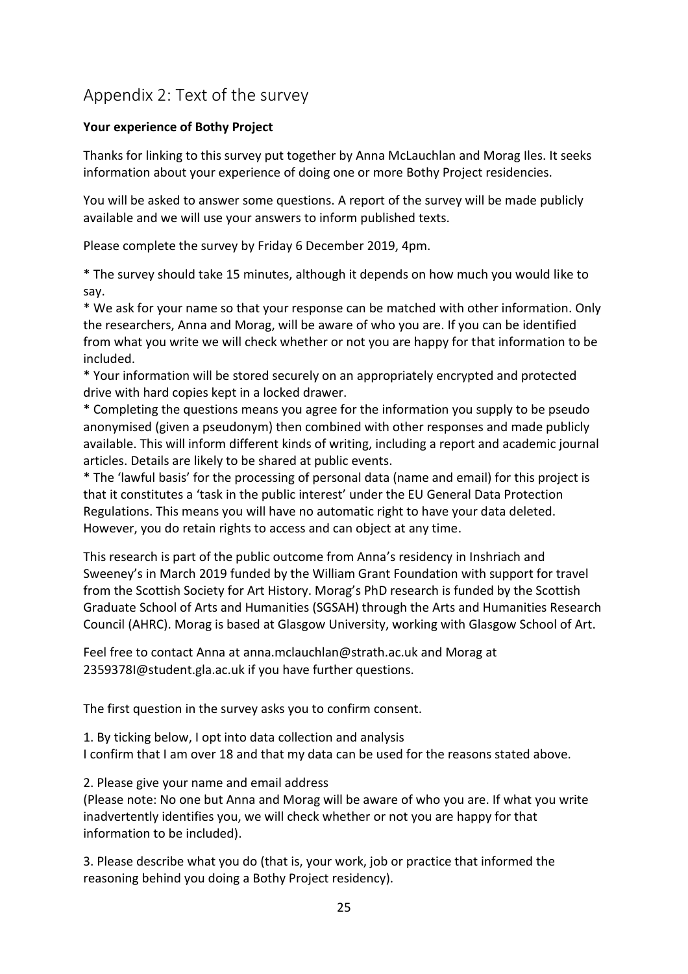# <span id="page-24-0"></span>Appendix 2: Text of the survey

#### **Your experience of Bothy Project**

Thanks for linking to this survey put together by Anna McLauchlan and Morag Iles. It seeks information about your experience of doing one or more Bothy Project residencies.

You will be asked to answer some questions. A report of the survey will be made publicly available and we will use your answers to inform published texts.

Please complete the survey by Friday 6 December 2019, 4pm.

\* The survey should take 15 minutes, although it depends on how much you would like to say.

\* We ask for your name so that your response can be matched with other information. Only the researchers, Anna and Morag, will be aware of who you are. If you can be identified from what you write we will check whether or not you are happy for that information to be included.

\* Your information will be stored securely on an appropriately encrypted and protected drive with hard copies kept in a locked drawer.

\* Completing the questions means you agree for the information you supply to be pseudo anonymised (given a pseudonym) then combined with other responses and made publicly available. This will inform different kinds of writing, including a report and academic journal articles. Details are likely to be shared at public events.

\* The 'lawful basis' for the processing of personal data (name and email) for this project is that it constitutes a 'task in the public interest' under the EU General Data Protection Regulations. This means you will have no automatic right to have your data deleted. However, you do retain rights to access and can object at any time.

This research is part of the public outcome from Anna's residency in Inshriach and Sweeney's in March 2019 funded by the William Grant Foundation with support for travel from the Scottish Society for Art History. Morag's PhD research is funded by the Scottish Graduate School of Arts and Humanities (SGSAH) through the Arts and Humanities Research Council (AHRC). Morag is based at Glasgow University, working with Glasgow School of Art.

Feel free to contact Anna at anna.mclauchlan@strath.ac.uk and Morag at 2359378I@student.gla.ac.uk if you have further questions.

The first question in the survey asks you to confirm consent.

1. By ticking below, I opt into data collection and analysis I confirm that I am over 18 and that my data can be used for the reasons stated above.

2. Please give your name and email address

(Please note: No one but Anna and Morag will be aware of who you are. If what you write inadvertently identifies you, we will check whether or not you are happy for that information to be included).

3. Please describe what you do (that is, your work, job or practice that informed the reasoning behind you doing a Bothy Project residency).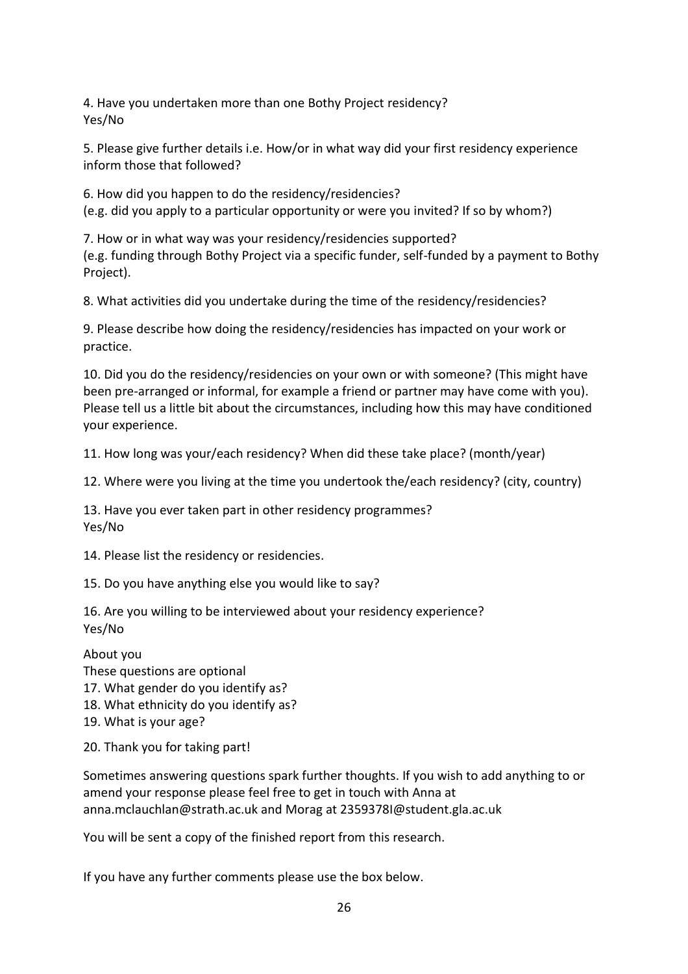4. Have you undertaken more than one Bothy Project residency? Yes/No

5. Please give further details i.e. How/or in what way did your first residency experience inform those that followed?

6. How did you happen to do the residency/residencies? (e.g. did you apply to a particular opportunity or were you invited? If so by whom?)

7. How or in what way was your residency/residencies supported? (e.g. funding through Bothy Project via a specific funder, self-funded by a payment to Bothy Project).

8. What activities did you undertake during the time of the residency/residencies?

9. Please describe how doing the residency/residencies has impacted on your work or practice.

10. Did you do the residency/residencies on your own or with someone? (This might have been pre-arranged or informal, for example a friend or partner may have come with you). Please tell us a little bit about the circumstances, including how this may have conditioned your experience.

11. How long was your/each residency? When did these take place? (month/year)

12. Where were you living at the time you undertook the/each residency? (city, country)

13. Have you ever taken part in other residency programmes? Yes/No

14. Please list the residency or residencies.

15. Do you have anything else you would like to say?

16. Are you willing to be interviewed about your residency experience? Yes/No

About you

These questions are optional

17. What gender do you identify as?

18. What ethnicity do you identify as?

19. What is your age?

20. Thank you for taking part!

Sometimes answering questions spark further thoughts. If you wish to add anything to or amend your response please feel free to get in touch with Anna at anna.mclauchlan@strath.ac.uk and Morag at 2359378I@student.gla.ac.uk

You will be sent a copy of the finished report from this research.

If you have any further comments please use the box below.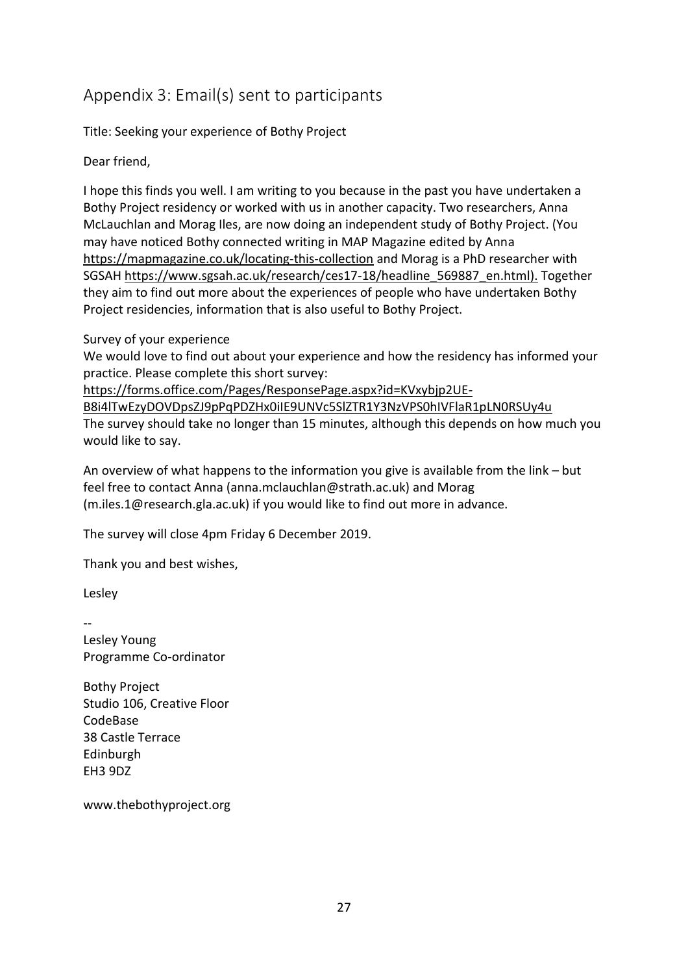# <span id="page-26-0"></span>Appendix 3: Email(s) sent to participants

Title: Seeking your experience of Bothy Project

Dear friend,

I hope this finds you well. I am writing to you because in the past you have undertaken a Bothy Project residency or worked with us in another capacity. Two researchers, Anna McLauchlan and Morag Iles, are now doing an independent study of Bothy Project. (You may have noticed Bothy connected writing in MAP Magazine edited by Anna https://mapmagazine.co.uk/locating-this-collection and Morag is a PhD researcher with SGSAH https://www.sgsah.ac.uk/research/ces17-18/headline\_569887\_en.html). Together they aim to find out more about the experiences of people who have undertaken Bothy Project residencies, information that is also useful to Bothy Project.

Survey of your experience

We would love to find out about your experience and how the residency has informed your practice. Please complete this short survey:

https://forms.office.com/Pages/ResponsePage.aspx?id=KVxybjp2UE-

B8i4lTwEzyDOVDpsZJ9pPqPDZHx0iIE9UNVc5SlZTR1Y3NzVPS0hIVFlaR1pLN0RSUy4u The survey should take no longer than 15 minutes, although this depends on how much you would like to say.

An overview of what happens to the information you give is available from the link – but feel free to contact Anna (anna.mclauchlan@strath.ac.uk) and Morag (m.iles.1@research.gla.ac.uk) if you would like to find out more in advance.

The survey will close 4pm Friday 6 December 2019.

Thank you and best wishes,

Lesley

--

Lesley Young Programme Co-ordinator

Bothy Project Studio 106, Creative Floor CodeBase 38 Castle Terrace Edinburgh EH3 9DZ

www.thebothyproject.org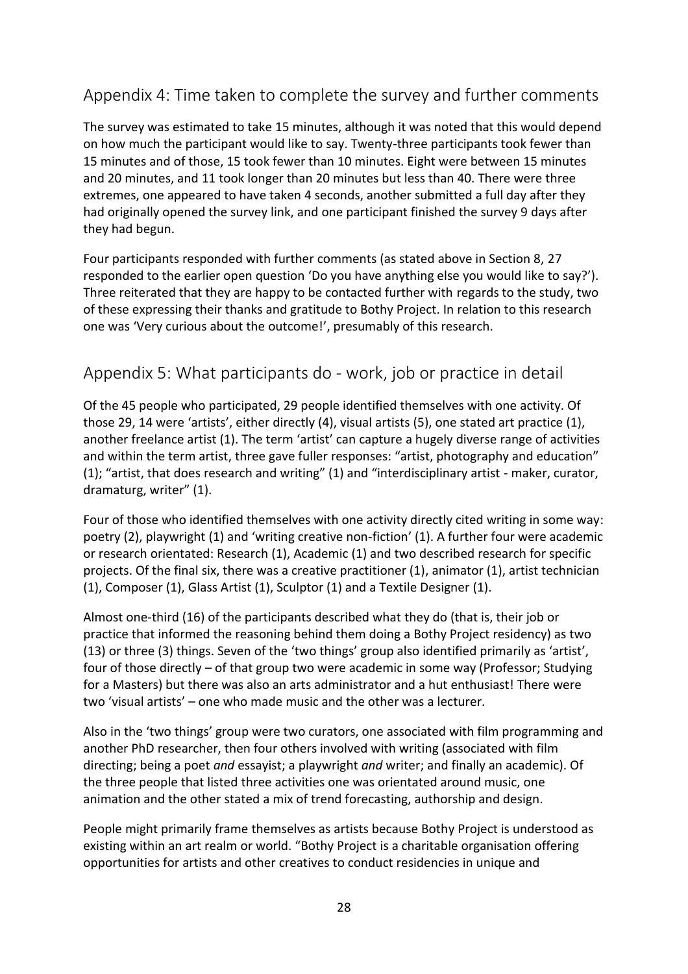# <span id="page-27-0"></span>Appendix 4: Time taken to complete the survey and further comments

The survey was estimated to take 15 minutes, although it was noted that this would depend on how much the participant would like to say. Twenty-three participants took fewer than 15 minutes and of those, 15 took fewer than 10 minutes. Eight were between 15 minutes and 20 minutes, and 11 took longer than 20 minutes but less than 40. There were three extremes, one appeared to have taken 4 seconds, another submitted a full day after they had originally opened the survey link, and one participant finished the survey 9 days after they had begun.

Four participants responded with further comments (as stated above in Section 8, 27 responded to the earlier open question 'Do you have anything else you would like to say?'). Three reiterated that they are happy to be contacted further with regards to the study, two of these expressing their thanks and gratitude to Bothy Project. In relation to this research one was 'Very curious about the outcome!', presumably of this research.

## <span id="page-27-1"></span>Appendix 5: What participants do - work, job or practice in detail

Of the 45 people who participated, 29 people identified themselves with one activity. Of those 29, 14 were 'artists', either directly (4), visual artists (5), one stated art practice (1), another freelance artist (1). The term 'artist' can capture a hugely diverse range of activities and within the term artist, three gave fuller responses: "artist, photography and education" (1); "artist, that does research and writing" (1) and "interdisciplinary artist - maker, curator, dramaturg, writer" (1).

Four of those who identified themselves with one activity directly cited writing in some way: poetry (2), playwright (1) and 'writing creative non-fiction' (1). A further four were academic or research orientated: Research (1), Academic (1) and two described research for specific projects. Of the final six, there was a creative practitioner (1), animator (1), artist technician (1), Composer (1), Glass Artist (1), Sculptor (1) and a Textile Designer (1).

Almost one-third (16) of the participants described what they do (that is, their job or practice that informed the reasoning behind them doing a Bothy Project residency) as two (13) or three (3) things. Seven of the 'two things' group also identified primarily as 'artist', four of those directly – of that group two were academic in some way (Professor; Studying for a Masters) but there was also an arts administrator and a hut enthusiast! There were two 'visual artists' – one who made music and the other was a lecturer.

Also in the 'two things' group were two curators, one associated with film programming and another PhD researcher, then four others involved with writing (associated with film directing; being a poet *and* essayist; a playwright *and* writer; and finally an academic). Of the three people that listed three activities one was orientated around music, one animation and the other stated a mix of trend forecasting, authorship and design.

People might primarily frame themselves as artists because Bothy Project is understood as existing within an art realm or world. "Bothy Project is a charitable organisation offering opportunities for artists and other creatives to conduct residencies in unique and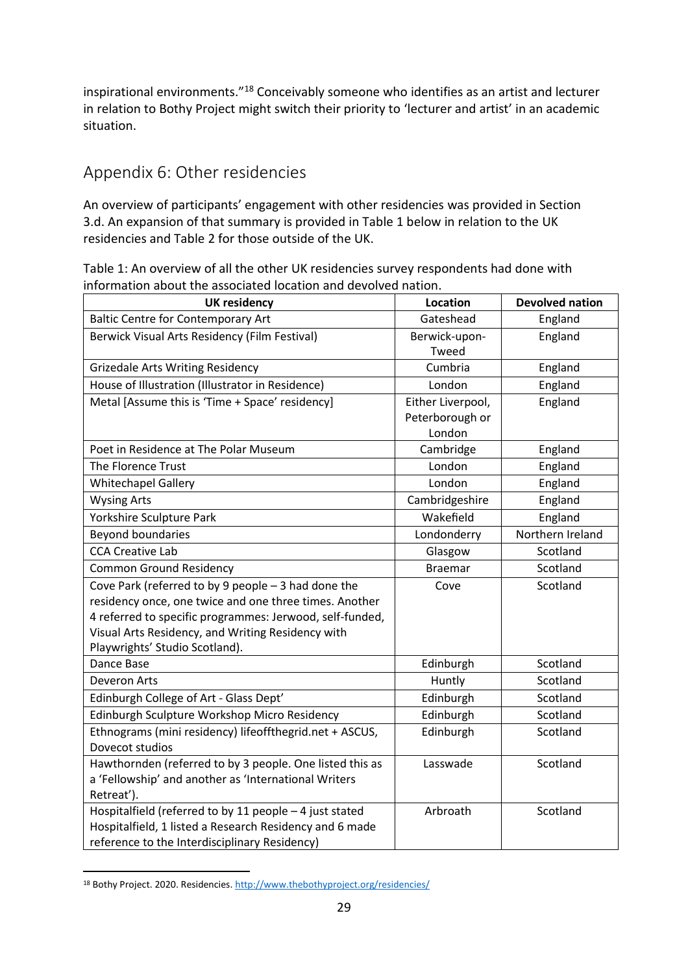inspirational environments."<sup>18</sup> Conceivably someone who identifies as an artist and lecturer in relation to Bothy Project might switch their priority to 'lecturer and artist' in an academic situation.

# <span id="page-28-0"></span>Appendix 6: Other residencies

An overview of participants' engagement with other residencies was provided in Section 3.d. An expansion of that summary is provided in Table 1 below in relation to the UK residencies and Table 2 for those outside of the UK.

Table 1: An overview of all the other UK residencies survey respondents had done with information about the associated location and devolved nation.

| <b>UK residency</b>                                      | Location          | <b>Devolved nation</b> |
|----------------------------------------------------------|-------------------|------------------------|
| <b>Baltic Centre for Contemporary Art</b>                | Gateshead         | England                |
| Berwick Visual Arts Residency (Film Festival)            | Berwick-upon-     | England                |
|                                                          | Tweed             |                        |
| <b>Grizedale Arts Writing Residency</b>                  | Cumbria           | England                |
| House of Illustration (Illustrator in Residence)         | London            | England                |
| Metal [Assume this is 'Time + Space' residency]          | Either Liverpool, | England                |
|                                                          | Peterborough or   |                        |
|                                                          | London            |                        |
| Poet in Residence at The Polar Museum                    | Cambridge         | England                |
| The Florence Trust                                       | London            | England                |
| <b>Whitechapel Gallery</b>                               | London            | England                |
| <b>Wysing Arts</b>                                       | Cambridgeshire    | England                |
| Yorkshire Sculpture Park                                 | Wakefield         | England                |
| Beyond boundaries                                        | Londonderry       | Northern Ireland       |
| <b>CCA Creative Lab</b>                                  | Glasgow           | Scotland               |
| <b>Common Ground Residency</b>                           | <b>Braemar</b>    | Scotland               |
| Cove Park (referred to by 9 people $-$ 3 had done the    | Cove              | Scotland               |
| residency once, one twice and one three times. Another   |                   |                        |
| 4 referred to specific programmes: Jerwood, self-funded, |                   |                        |
| Visual Arts Residency, and Writing Residency with        |                   |                        |
| Playwrights' Studio Scotland).                           |                   |                        |
| Dance Base                                               | Edinburgh         | Scotland               |
| Deveron Arts                                             | Huntly            | Scotland               |
| Edinburgh College of Art - Glass Dept'                   | Edinburgh         | Scotland               |
| Edinburgh Sculpture Workshop Micro Residency             | Edinburgh         | Scotland               |
| Ethnograms (mini residency) lifeoffthegrid.net + ASCUS,  | Edinburgh         | Scotland               |
| Dovecot studios                                          |                   |                        |
| Hawthornden (referred to by 3 people. One listed this as | Lasswade          | Scotland               |
| a 'Fellowship' and another as 'International Writers     |                   |                        |
| Retreat').                                               |                   |                        |
| Hospitalfield (referred to by 11 people - 4 just stated  | Arbroath          | Scotland               |
| Hospitalfield, 1 listed a Research Residency and 6 made  |                   |                        |
| reference to the Interdisciplinary Residency)            |                   |                        |

<sup>18</sup> Bothy Project. 2020. Residencies[. http://www.thebothyproject.org/residencies/](http://www.thebothyproject.org/residencies/)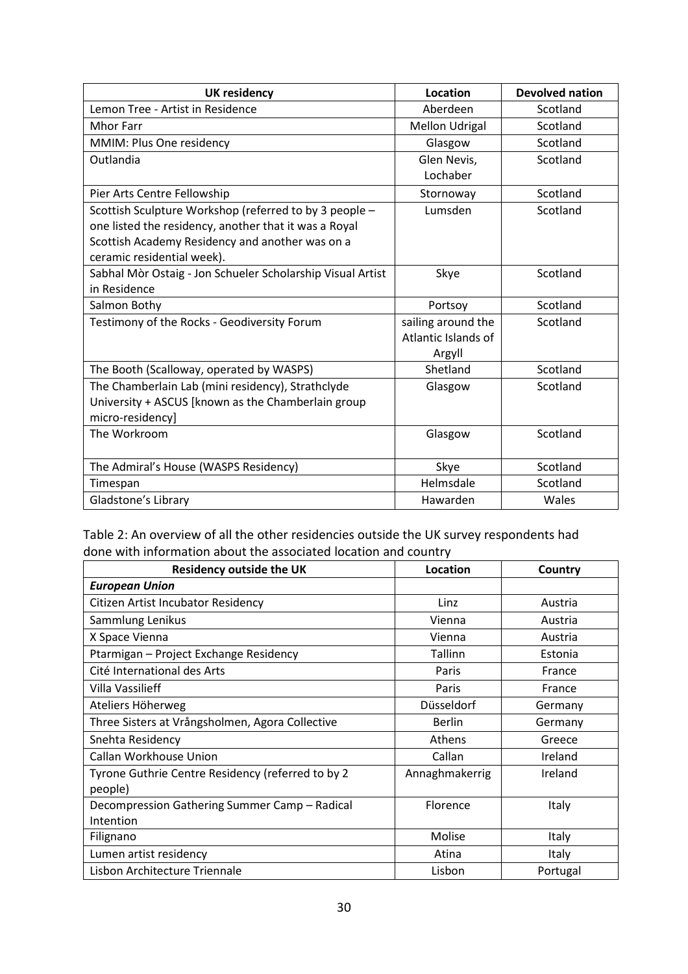| <b>UK residency</b>                                        | Location              | <b>Devolved nation</b> |
|------------------------------------------------------------|-----------------------|------------------------|
| Lemon Tree - Artist in Residence                           | Aberdeen              | Scotland               |
| <b>Mhor Farr</b>                                           | <b>Mellon Udrigal</b> | Scotland               |
| MMIM: Plus One residency                                   | Glasgow               | Scotland               |
| Outlandia                                                  | Glen Nevis,           | Scotland               |
|                                                            | Lochaber              |                        |
| Pier Arts Centre Fellowship                                | Stornoway             | Scotland               |
| Scottish Sculpture Workshop (referred to by 3 people -     | Lumsden               | Scotland               |
| one listed the residency, another that it was a Royal      |                       |                        |
| Scottish Academy Residency and another was on a            |                       |                        |
| ceramic residential week).                                 |                       |                        |
| Sabhal Mòr Ostaig - Jon Schueler Scholarship Visual Artist | Skye                  | Scotland               |
| in Residence                                               |                       |                        |
| Salmon Bothy                                               | Portsoy               | Scotland               |
| Testimony of the Rocks - Geodiversity Forum                | sailing around the    | Scotland               |
|                                                            | Atlantic Islands of   |                        |
|                                                            | Argyll                |                        |
| The Booth (Scalloway, operated by WASPS)                   | Shetland              | Scotland               |
| The Chamberlain Lab (mini residency), Strathclyde          | Glasgow               | Scotland               |
| University + ASCUS [known as the Chamberlain group         |                       |                        |
| micro-residency]                                           |                       |                        |
| The Workroom                                               | Glasgow               | Scotland               |
|                                                            |                       |                        |
| The Admiral's House (WASPS Residency)                      | Skye                  | Scotland               |
| Timespan                                                   | Helmsdale             | Scotland               |
| Gladstone's Library                                        | Hawarden              | Wales                  |

Table 2: An overview of all the other residencies outside the UK survey respondents had done with information about the associated location and country

| <b>Residency outside the UK</b>                   | Location        | Country      |
|---------------------------------------------------|-----------------|--------------|
| <b>European Union</b>                             |                 |              |
| Citizen Artist Incubator Residency                | Linz            | Austria      |
| Sammlung Lenikus                                  | Vienna          | Austria      |
| X Space Vienna                                    | Vienna          | Austria      |
| Ptarmigan - Project Exchange Residency            | Tallinn         | Estonia      |
| Cité International des Arts                       | Paris           | France       |
| Villa Vassilieff                                  | Paris           | France       |
| Ateliers Höherweg                                 | Düsseldorf      | Germany      |
| Three Sisters at Vrångsholmen, Agora Collective   | <b>Berlin</b>   | Germany      |
| Snehta Residency                                  | Athens          | Greece       |
| Callan Workhouse Union                            | Callan          | Ireland      |
| Tyrone Guthrie Centre Residency (referred to by 2 | Annaghmakerrig  | Ireland      |
| people)                                           |                 |              |
| Decompression Gathering Summer Camp - Radical     | <b>Florence</b> | Italy        |
| Intention                                         |                 |              |
| Filignano                                         | Molise          | Italy        |
| Lumen artist residency                            | Atina           | <b>Italy</b> |
| Lisbon Architecture Triennale                     | Lisbon          | Portugal     |